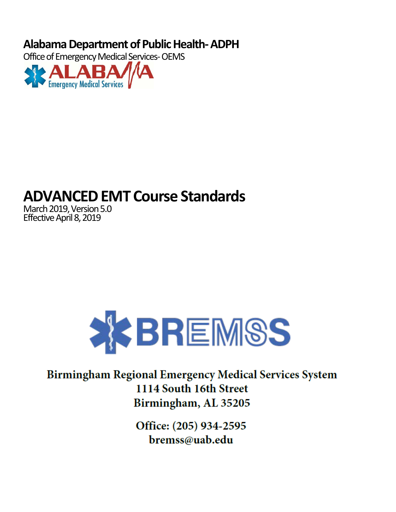**Alabama Department of Public Health- ADPH**

Office of Emergency Medical Services- OEMS



# **ADVANCED EMT Course Standards**

March 2019, Version 5.0 Effective April 8, 2019



## **Birmingham Regional Emergency Medical Services System** 1114 South 16th Street Birmingham, AL 35205

Office: (205) 934-2595 bremss@uab.edu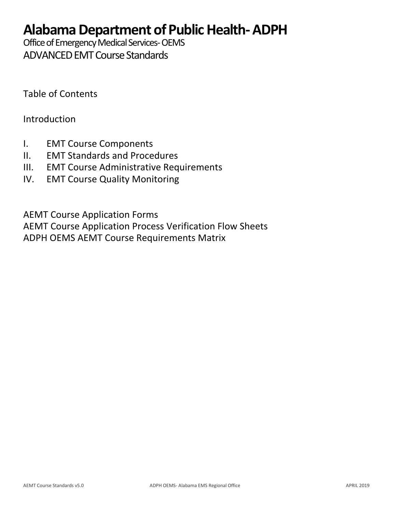## **Alabama Department of Public Health- ADPH**

Office of Emergency Medical Services- OEMS ADVANCED EMT Course Standards

Table of Contents

Introduction

- I. EMT Course Components
- II. EMT Standards and Procedures
- III. EMT Course Administrative Requirements
- IV. EMT Course Quality Monitoring

AEMT Course Application Forms

AEMT Course Application Process Verification Flow Sheets ADPH OEMS AEMT Course Requirements Matrix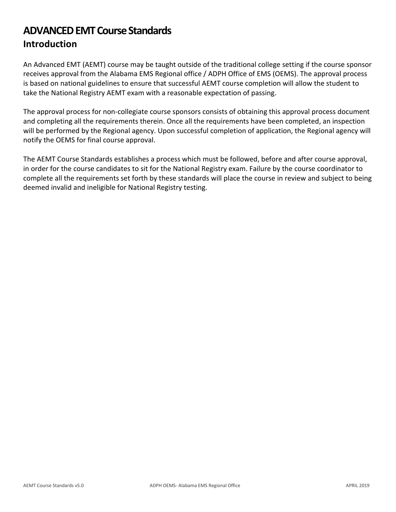## **ADVANCED EMT Course Standards Introduction**

An Advanced EMT (AEMT) course may be taught outside of the traditional college setting if the course sponsor receives approval from the Alabama EMS Regional office / ADPH Office of EMS (OEMS). The approval process is based on national guidelines to ensure that successful AEMT course completion will allow the student to take the National Registry AEMT exam with a reasonable expectation of passing.

The approval process for non-collegiate course sponsors consists of obtaining this approval process document and completing all the requirements therein. Once all the requirements have been completed, an inspection will be performed by the Regional agency. Upon successful completion of application, the Regional agency will notify the OEMS for final course approval.

The AEMT Course Standards establishes a process which must be followed, before and after course approval, in order for the course candidates to sit for the National Registry exam. Failure by the course coordinator to complete all the requirements set forth by these standards will place the course in review and subject to being deemed invalid and ineligible for National Registry testing.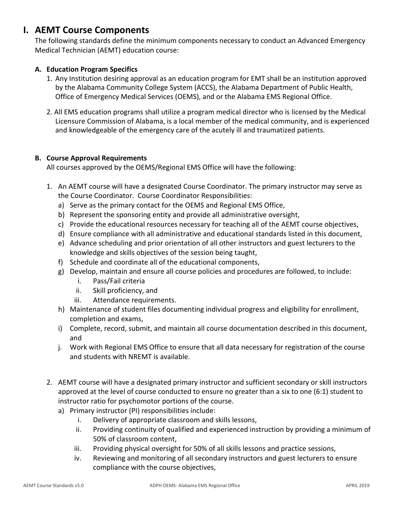## **I. AEMT Course Components**

The following standards define the minimum components necessary to conduct an Advanced Emergency Medical Technician (AEMT) education course:

#### **A. Education Program Specifics**

- 1. Any Institution desiring approval as an education program for EMT shall be an institution approved by the Alabama Community College System (ACCS), the Alabama Department of Public Health, Office of Emergency Medical Services (OEMS), and or the Alabama EMS Regional Office.
- 2. All EMS education programs shall utilize a program medical director who is licensed by the Medical Licensure Commission of Alabama, is a local member of the medical community, and is experienced and knowledgeable of the emergency care of the acutely ill and traumatized patients.

#### **B. Course Approval Requirements**

All courses approved by the OEMS/Regional EMS Office will have the following:

- 1. An AEMT course will have a designated Course Coordinator. The primary instructor may serve as the Course Coordinator. Course Coordinator Responsibilities:
	- a) Serve as the primary contact for the OEMS and Regional EMS Office,
	- b) Represent the sponsoring entity and provide all administrative oversight,
	- c) Provide the educational resources necessary for teaching all of the AEMT course objectives,
	- d) Ensure compliance with all administrative and educational standards listed in this document,
	- e) Advance scheduling and prior orientation of all other instructors and guest lecturers to the knowledge and skills objectives of the session being taught,
	- f) Schedule and coordinate all of the educational components,
	- g) Develop, maintain and ensure all course policies and procedures are followed, to include:
		- i. Pass/Fail criteria
		- ii. Skill proficiency, and
		- iii. Attendance requirements.
	- h) Maintenance of student files documenting individual progress and eligibility for enrollment, completion and exams,
	- i) Complete, record, submit, and maintain all course documentation described in this document, and
	- j. Work with Regional EMS Office to ensure that all data necessary for registration of the course and students with NREMT is available.
- 2. AEMT course will have a designated primary instructor and sufficient secondary or skill instructors approved at the level of course conducted to ensure no greater than a six to one (6:1) student to instructor ratio for psychomotor portions of the course.
	- a) Primary instructor (PI) responsibilities include:
		- i. Delivery of appropriate classroom and skills lessons,
		- ii. Providing continuity of qualified and experienced instruction by providing a minimum of 50% of classroom content,
		- iii. Providing physical oversight for 50% of all skills lessons and practice sessions,
		- iv. Reviewing and monitoring of all secondary instructors and guest lecturers to ensure compliance with the course objectives,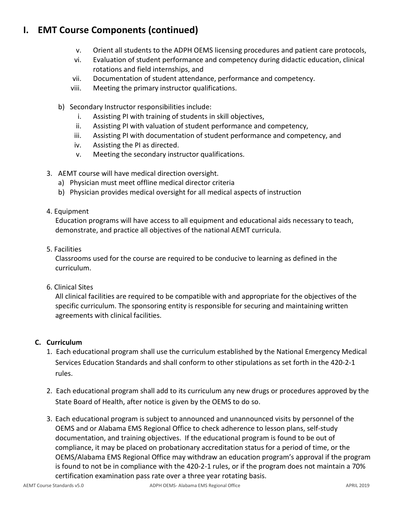## **I. EMT Course Components (continued)**

- v. Orient all students to the ADPH OEMS licensing procedures and patient care protocols,
- vi. Evaluation of student performance and competency during didactic education, clinical rotations and field internships, and
- vii. Documentation of student attendance, performance and competency.
- viii. Meeting the primary instructor qualifications.
- b) Secondary Instructor responsibilities include:
	- i. Assisting PI with training of students in skill objectives,
	- ii. Assisting PI with valuation of student performance and competency,
	- iii. Assisting PI with documentation of student performance and competency, and
	- iv. Assisting the PI as directed.
	- v. Meeting the secondary instructor qualifications.
- 3. AEMT course will have medical direction oversight.
	- a) Physician must meet offline medical director criteria
	- b) Physician provides medical oversight for all medical aspects of instruction
- 4. Equipment

Education programs will have access to all equipment and educational aids necessary to teach, demonstrate, and practice all objectives of the national AEMT curricula.

5. Facilities

Classrooms used for the course are required to be conducive to learning as defined in the curriculum.

6. Clinical Sites

All clinical facilities are required to be compatible with and appropriate for the objectives of the specific curriculum. The sponsoring entity is responsible for securing and maintaining written agreements with clinical facilities.

#### **C. Curriculum**

- 1. Each educational program shall use the curriculum established by the National Emergency Medical Services Education Standards and shall conform to other stipulations as set forth in the 420-2-1 rules.
- 2. Each educational program shall add to its curriculum any new drugs or procedures approved by the State Board of Health, after notice is given by the OEMS to do so.
- 3. Each educational program is subject to announced and unannounced visits by personnel of the OEMS and or Alabama EMS Regional Office to check adherence to lesson plans, self-study documentation, and training objectives. If the educational program is found to be out of compliance, it may be placed on probationary accreditation status for a period of time, or the OEMS/Alabama EMS Regional Office may withdraw an education program's approval if the program is found to not be in compliance with the 420-2-1 rules, or if the program does not maintain a 70% certification examination pass rate over a three year rotating basis.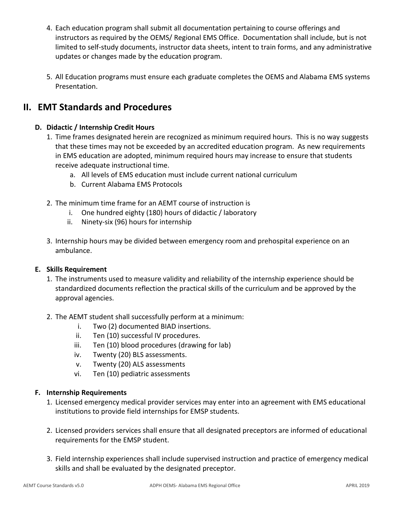- 4. Each education program shall submit all documentation pertaining to course offerings and instructors as required by the OEMS/ Regional EMS Office. Documentation shall include, but is not limited to self-study documents, instructor data sheets, intent to train forms, and any administrative updates or changes made by the education program.
- 5. All Education programs must ensure each graduate completes the OEMS and Alabama EMS systems Presentation.

## **II. EMT Standards and Procedures**

#### **D. Didactic / Internship Credit Hours**

- 1. Time frames designated herein are recognized as minimum required hours. This is no way suggests that these times may not be exceeded by an accredited education program. As new requirements in EMS education are adopted, minimum required hours may increase to ensure that students receive adequate instructional time.
	- a. All levels of EMS education must include current national curriculum
	- b. Current Alabama EMS Protocols
- 2. The minimum time frame for an AEMT course of instruction is
	- i. One hundred eighty (180) hours of didactic / laboratory
	- ii. Ninety-six (96) hours for internship
- 3. Internship hours may be divided between emergency room and prehospital experience on an ambulance.

#### **E. Skills Requirement**

- 1. The instruments used to measure validity and reliability of the internship experience should be standardized documents reflection the practical skills of the curriculum and be approved by the approval agencies.
- 2. The AEMT student shall successfully perform at a minimum:
	- i. Two (2) documented BIAD insertions.
	- ii. Ten (10) successful IV procedures.
	- iii. Ten (10) blood procedures (drawing for lab)
	- iv. Twenty (20) BLS assessments.
	- v. Twenty (20) ALS assessments
	- vi. Ten (10) pediatric assessments

#### **F. Internship Requirements**

- 1. Licensed emergency medical provider services may enter into an agreement with EMS educational institutions to provide field internships for EMSP students.
- 2. Licensed providers services shall ensure that all designated preceptors are informed of educational requirements for the EMSP student.
- 3. Field internship experiences shall include supervised instruction and practice of emergency medical skills and shall be evaluated by the designated preceptor.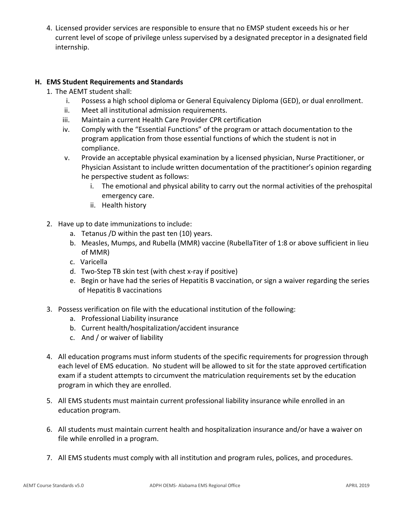4. Licensed provider services are responsible to ensure that no EMSP student exceeds his or her current level of scope of privilege unless supervised by a designated preceptor in a designated field internship.

#### **H. EMS Student Requirements and Standards**

- 1. The AEMT student shall:
	- i. Possess a high school diploma or General Equivalency Diploma (GED), or dual enrollment.
	- ii. Meet all institutional admission requirements.
	- iii. Maintain a current Health Care Provider CPR certification
	- iv. Comply with the "Essential Functions" of the program or attach documentation to the program application from those essential functions of which the student is not in compliance.
	- v. Provide an acceptable physical examination by a licensed physician, Nurse Practitioner, or Physician Assistant to include written documentation of the practitioner's opinion regarding he perspective student as follows:
		- i. The emotional and physical ability to carry out the normal activities of the prehospital emergency care.
		- ii. Health history
- 2. Have up to date immunizations to include:
	- a. Tetanus /D within the past ten (10) years.
	- b. Measles, Mumps, and Rubella (MMR) vaccine (RubellaTiter of 1:8 or above sufficient in lieu of MMR)
	- c. Varicella
	- d. Two-Step TB skin test (with chest x-ray if positive)
	- e. Begin or have had the series of Hepatitis B vaccination, or sign a waiver regarding the series of Hepatitis B vaccinations
- 3. Possess verification on file with the educational institution of the following:
	- a. Professional Liability insurance
	- b. Current health/hospitalization/accident insurance
	- c. And / or waiver of liability
- 4. All education programs must inform students of the specific requirements for progression through each level of EMS education. No student will be allowed to sit for the state approved certification exam if a student attempts to circumvent the matriculation requirements set by the education program in which they are enrolled.
- 5. All EMS students must maintain current professional liability insurance while enrolled in an education program.
- 6. All students must maintain current health and hospitalization insurance and/or have a waiver on file while enrolled in a program.
- 7. All EMS students must comply with all institution and program rules, polices, and procedures.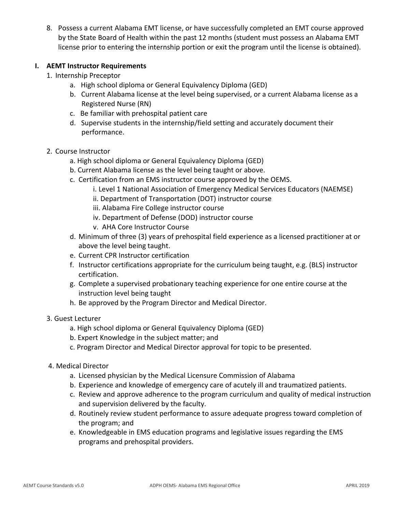8. Possess a current Alabama EMT license, or have successfully completed an EMT course approved by the State Board of Health within the past 12 months (student must possess an Alabama EMT license prior to entering the internship portion or exit the program until the license is obtained).

#### **I. AEMT Instructor Requirements**

- 1. Internship Preceptor
	- a. High school diploma or General Equivalency Diploma (GED)
	- b. Current Alabama license at the level being supervised, or a current Alabama license as a Registered Nurse (RN)
	- c. Be familiar with prehospital patient care
	- d. Supervise students in the internship/field setting and accurately document their performance.
- 2. Course Instructor
	- a. High school diploma or General Equivalency Diploma (GED)
	- b. Current Alabama license as the level being taught or above.
	- c. Certification from an EMS instructor course approved by the OEMS.
		- i. Level 1 National Association of Emergency Medical Services Educators (NAEMSE)
			- ii. Department of Transportation (DOT) instructor course
			- iii. Alabama Fire College instructor course
			- iv. Department of Defense (DOD) instructor course
			- v. AHA Core Instructor Course
	- d. Minimum of three (3) years of prehospital field experience as a licensed practitioner at or above the level being taught.
	- e. Current CPR Instructor certification
	- f. Instructor certifications appropriate for the curriculum being taught, e.g. (BLS) instructor certification.
	- g. Complete a supervised probationary teaching experience for one entire course at the instruction level being taught
	- h. Be approved by the Program Director and Medical Director.
- 3. Guest Lecturer
	- a. High school diploma or General Equivalency Diploma (GED)
	- b. Expert Knowledge in the subject matter; and
	- c. Program Director and Medical Director approval for topic to be presented.
- 4. Medical Director
	- a. Licensed physician by the Medical Licensure Commission of Alabama
	- b. Experience and knowledge of emergency care of acutely ill and traumatized patients.
	- c. Review and approve adherence to the program curriculum and quality of medical instruction and supervision delivered by the faculty.
	- d. Routinely review student performance to assure adequate progress toward completion of the program; and
	- e. Knowledgeable in EMS education programs and legislative issues regarding the EMS programs and prehospital providers.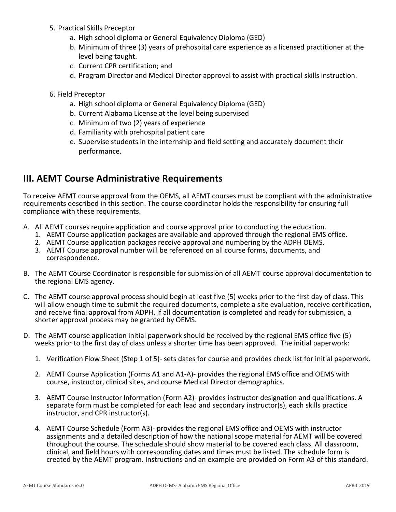- 5. Practical Skills Preceptor
	- a. High school diploma or General Equivalency Diploma (GED)
	- b. Minimum of three (3) years of prehospital care experience as a licensed practitioner at the level being taught.
	- c. Current CPR certification; and
	- d. Program Director and Medical Director approval to assist with practical skills instruction.
- 6. Field Preceptor
	- a. High school diploma or General Equivalency Diploma (GED)
	- b. Current Alabama License at the level being supervised
	- c. Minimum of two (2) years of experience
	- d. Familiarity with prehospital patient care
	- e. Supervise students in the internship and field setting and accurately document their performance.

## **III. AEMT Course Administrative Requirements**

To receive AEMT course approval from the OEMS, all AEMT courses must be compliant with the administrative requirements described in this section. The course coordinator holds the responsibility for ensuring full compliance with these requirements.

- A. All AEMT courses require application and course approval prior to conducting the education.
	- 1. AEMT Course application packages are available and approved through the regional EMS office.
	- 2. AEMT Course application packages receive approval and numbering by the ADPH OEMS.
	- 3. AEMT Course approval number will be referenced on all course forms, documents, and correspondence.
- B. The AEMT Course Coordinator is responsible for submission of all AEMT course approval documentation to the regional EMS agency.
- C. The AEMT course approval process should begin at least five (5) weeks prior to the first day of class. This will allow enough time to submit the required documents, complete a site evaluation, receive certification, and receive final approval from ADPH. If all documentation is completed and ready for submission, a shorter approval process may be granted by OEMS.
- D. The AEMT course application initial paperwork should be received by the regional EMS office five (5) weeks prior to the first day of class unless a shorter time has been approved. The initial paperwork:
	- 1. Verification Flow Sheet (Step 1 of 5)- sets dates for course and provides check list for initial paperwork.
	- 2. AEMT Course Application (Forms A1 and A1-A)- provides the regional EMS office and OEMS with course, instructor, clinical sites, and course Medical Director demographics.
	- 3. AEMT Course Instructor Information (Form A2)- provides instructor designation and qualifications. A separate form must be completed for each lead and secondary instructor(s), each skills practice instructor, and CPR instructor(s).
	- 4. AEMT Course Schedule (Form A3)- provides the regional EMS office and OEMS with instructor assignments and a detailed description of how the national scope material for AEMT will be covered throughout the course. The schedule should show material to be covered each class. All classroom, clinical, and field hours with corresponding dates and times must be listed. The schedule form is created by the AEMT program. Instructions and an example are provided on Form A3 of this standard.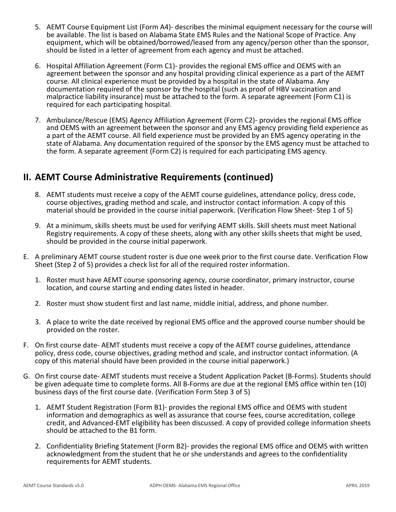- 5. AEMT Course Equipment List (Form A4)- describes the minimal equipment necessary for the course will be available. The list is based on Alabama State EMS Rules and the National Scope of Practice. Any equipment, which will be obtained/borrowed/leased from any agency/person other than the sponsor, should be listed in a letter of agreement from each agency and must be attached.
- 6. Hospital Affiliation Agreement (Form C1)- provides the regional EMS office and OEMS with an agreement between the sponsor and any hospital providing clinical experience as a part of the AEMT course. All clinical experience must be provided by a hospital in the state of Alabama. Any documentation required of the sponsor by the hospital (such as proof of HBV vaccination and malpractice liability insurance) must be attached to the form. A separate agreement (Form C1) is required for each participating hospital.
- 7. Ambulance/Rescue (EMS) Agency Affiliation Agreement (Form C2)- provides the regional EMS office and OEMS with an agreement between the sponsor and any EMS agency providing field experience as a part of the AEMT course. All field experience must be provided by an EMS agency operating in the state of Alabama. Any documentation required of the sponsor by the EMS agency must be attached to the form. A separate agreement (Form C2) is required for each participating EMS agency.

- 8. AEMT students must receive a copy of the AEMT course guidelines, attendance policy, dress code, course objectives, grading method and scale, and instructor contact information. A copy of this material should be provided in the course initial paperwork. (Verification Flow Sheet- Step 1 of 5)
- 9. At a minimum, skills sheets must be used for verifying AEMT skills. Skill sheets must meet National Registry requirements. A copy of these sheets, along with any other skills sheets that might be used, should be provided in the course initial paperwork.
- E. A preliminary AEMT course student roster is due one week prior to the first course date. Verification Flow Sheet (Step 2 of 5) provides a check list for all of the required roster information.
	- 1. Roster must have AEMT course sponsoring agency, course coordinator, primary instructor, course location, and course starting and ending dates listed in header.
	- 2. Roster must show student first and last name, middle initial, address, and phone number.
	- 3. A place to write the date received by regional EMS office and the approved course number should be provided on the roster.
- F. On first course date- AEMT students must receive a copy of the AEMT course guidelines, attendance policy, dress code, course objectives, grading method and scale, and instructor contact information. (A copy of this material should have been provided in the course initial paperwork.)
- G. On first course date- AEMT students must receive a Student Application Packet (B-Forms). Students should be given adequate time to complete forms. All B-Forms are due at the regional EMS office within ten (10) business days of the first course date. (Verification Form Step 3 of 5)
	- 1. AEMT Student Registration (Form B1)- provides the regional EMS office and OEMS with student information and demographics as well as assurance that course fees, course accreditation, college credit, and Advanced-EMT eligibility has been discussed. A copy of provided college information sheets should be attached to the B1 form.
	- 2. Confidentiality Briefing Statement (Form B2)- provides the regional EMS office and OEMS with written acknowledgment from the student that he or she understands and agrees to the confidentiality requirements for AEMT students.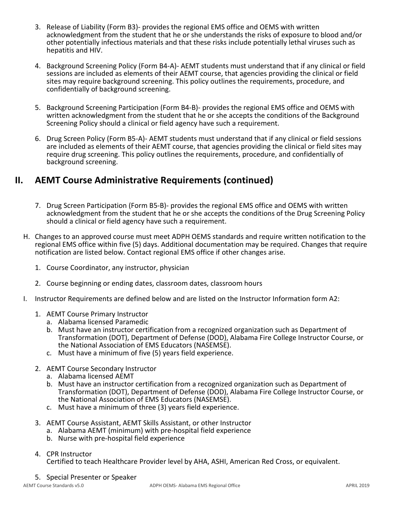- 3. Release of Liability (Form B3)- provides the regional EMS office and OEMS with written acknowledgment from the student that he or she understands the risks of exposure to blood and/or other potentially infectious materials and that these risks include potentially lethal viruses such as hepatitis and HIV.
- 4. Background Screening Policy (Form B4-A)- AEMT students must understand that if any clinical or field sessions are included as elements of their AEMT course, that agencies providing the clinical or field sites may require background screening. This policy outlines the requirements, procedure, and confidentially of background screening.
- 5. Background Screening Participation (Form B4-B)- provides the regional EMS office and OEMS with written acknowledgment from the student that he or she accepts the conditions of the Background Screening Policy should a clinical or field agency have such a requirement.
- 6. Drug Screen Policy (Form B5-A)- AEMT students must understand that if any clinical or field sessions are included as elements of their AEMT course, that agencies providing the clinical or field sites may require drug screening. This policy outlines the requirements, procedure, and confidentially of background screening.

- 7. Drug Screen Participation (Form B5-B)- provides the regional EMS office and OEMS with written acknowledgment from the student that he or she accepts the conditions of the Drug Screening Policy should a clinical or field agency have such a requirement.
- H. Changes to an approved course must meet ADPH OEMS standards and require written notification to the regional EMS office within five (5) days. Additional documentation may be required. Changes that require notification are listed below. Contact regional EMS office if other changes arise.
	- 1. Course Coordinator, any instructor, physician
	- 2. Course beginning or ending dates, classroom dates, classroom hours
- I. Instructor Requirements are defined below and are listed on the Instructor Information form A2:
	- 1. AEMT Course Primary Instructor
		- a. Alabama licensed Paramedic
		- b. Must have an instructor certification from a recognized organization such as Department of Transformation (DOT), Department of Defense (DOD), Alabama Fire College Instructor Course, or the National Association of EMS Educators (NASEMSE).
		- c. Must have a minimum of five (5) years field experience.
	- 2. AEMT Course Secondary Instructor
		- a. Alabama licensed AEMT
		- b. Must have an instructor certification from a recognized organization such as Department of Transformation (DOT), Department of Defense (DOD), Alabama Fire College Instructor Course, or the National Association of EMS Educators (NASEMSE).
		- c. Must have a minimum of three (3) years field experience.
	- 3. AEMT Course Assistant, AEMT Skills Assistant, or other Instructor
		- a. Alabama AEMT (minimum) with pre-hospital field experience
		- b. Nurse with pre-hospital field experience

#### 4. CPR Instructor

Certified to teach Healthcare Provider level by AHA, ASHI, American Red Cross, or equivalent.

5. Special Presenter or Speaker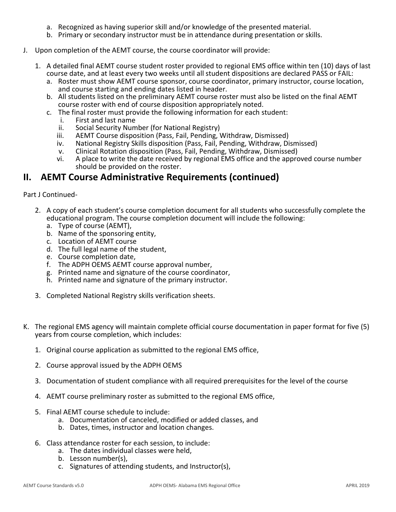- a. Recognized as having superior skill and/or knowledge of the presented material.
- b. Primary or secondary instructor must be in attendance during presentation or skills.
- J. Upon completion of the AEMT course, the course coordinator will provide:
	- 1. A detailed final AEMT course student roster provided to regional EMS office within ten (10) days of last course date, and at least every two weeks until all student dispositions are declared PASS or FAIL:
		- a. Roster must show AEMT course sponsor, course coordinator, primary instructor, course location, and course starting and ending dates listed in header.
		- b. All students listed on the preliminary AEMT course roster must also be listed on the final AEMT course roster with end of course disposition appropriately noted.
		- c. The final roster must provide the following information for each student:
			- i. First and last name
			- ii. Social Security Number (for National Registry)
			- iii. AEMT Course disposition (Pass, Fail, Pending, Withdraw, Dismissed)
			- iv. National Registry Skills disposition (Pass, Fail, Pending, Withdraw, Dismissed)
			- v. Clinical Rotation disposition (Pass, Fail, Pending, Withdraw, Dismissed)
			- vi. A place to write the date received by regional EMS office and the approved course number should be provided on the roster.

Part J Continued-

- 2. A copy of each student's course completion document for all students who successfully complete the educational program. The course completion document will include the following:
	- a. Type of course (AEMT),
	- b. Name of the sponsoring entity,
	- c. Location of AEMT course
	- d. The full legal name of the student,
	- e. Course completion date,
	- f. The ADPH OEMS AEMT course approval number,
	- g. Printed name and signature of the course coordinator,
	- h. Printed name and signature of the primary instructor.
- 3. Completed National Registry skills verification sheets.
- K. The regional EMS agency will maintain complete official course documentation in paper format for five (5) years from course completion, which includes:
	- 1. Original course application as submitted to the regional EMS office,
	- 2. Course approval issued by the ADPH OEMS
	- 3. Documentation of student compliance with all required prerequisites for the level of the course
	- 4. AEMT course preliminary roster as submitted to the regional EMS office,
	- 5. Final AEMT course schedule to include:
		- a. Documentation of canceled, modified or added classes, and
		- b. Dates, times, instructor and location changes.
	- 6. Class attendance roster for each session, to include:
		- a. The dates individual classes were held,
		- b. Lesson number(s),
		- c. Signatures of attending students, and Instructor(s),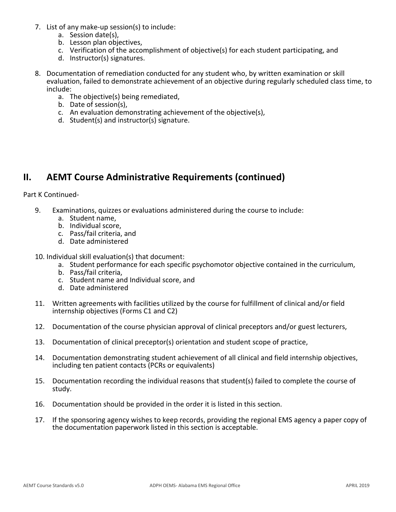- 7. List of any make-up session(s) to include:
	- a. Session date(s),
	- b. Lesson plan objectives,
	- c. Verification of the accomplishment of objective(s) for each student participating, and
	- d. Instructor(s) signatures.
- 8. Documentation of remediation conducted for any student who, by written examination or skill evaluation, failed to demonstrate achievement of an objective during regularly scheduled class time, to include:
	- a. The objective(s) being remediated,
	- b. Date of session(s),
	- c. An evaluation demonstrating achievement of the objective(s),
	- d. Student(s) and instructor(s) signature.

Part K Continued-

- 9. Examinations, quizzes or evaluations administered during the course to include:
	- a. Student name,
	- b. Individual score,
	- c. Pass/fail criteria, and
	- d. Date administered
- 10. Individual skill evaluation(s) that document:
	- a. Student performance for each specific psychomotor objective contained in the curriculum,
	- b. Pass/fail criteria,
	- c. Student name and Individual score, and
	- d. Date administered
- 11. Written agreements with facilities utilized by the course for fulfillment of clinical and/or field internship objectives (Forms C1 and C2)
- 12. Documentation of the course physician approval of clinical preceptors and/or guest lecturers,
- 13. Documentation of clinical preceptor(s) orientation and student scope of practice,
- 14. Documentation demonstrating student achievement of all clinical and field internship objectives, including ten patient contacts (PCRs or equivalents)
- 15. Documentation recording the individual reasons that student(s) failed to complete the course of study.
- 16. Documentation should be provided in the order it is listed in this section.
- 17. If the sponsoring agency wishes to keep records, providing the regional EMS agency a paper copy of the documentation paperwork listed in this section is acceptable.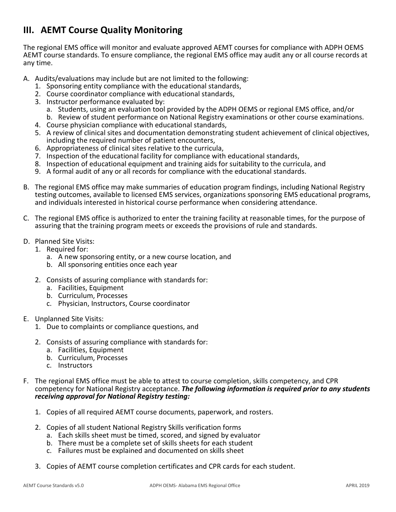## **III. AEMT Course Quality Monitoring**

The regional EMS office will monitor and evaluate approved AEMT courses for compliance with ADPH OEMS AEMT course standards. To ensure compliance, the regional EMS office may audit any or all course records at any time.

- A. Audits/evaluations may include but are not limited to the following:
	- 1. Sponsoring entity compliance with the educational standards,
	- 2. Course coordinator compliance with educational standards,
	- 3. Instructor performance evaluated by:
		- a. Students, using an evaluation tool provided by the ADPH OEMS or regional EMS office, and/or
	- b. Review of student performance on National Registry examinations or other course examinations.
	- 4. Course physician compliance with educational standards,
	- 5. A review of clinical sites and documentation demonstrating student achievement of clinical objectives, including the required number of patient encounters,
	- 6. Appropriateness of clinical sites relative to the curricula,
	- 7. Inspection of the educational facility for compliance with educational standards,
	- 8. Inspection of educational equipment and training aids for suitability to the curricula, and
	- 9. A formal audit of any or all records for compliance with the educational standards.
- B. The regional EMS office may make summaries of education program findings, including National Registry testing outcomes, available to licensed EMS services, organizations sponsoring EMS educational programs, and individuals interested in historical course performance when considering attendance.
- C. The regional EMS office is authorized to enter the training facility at reasonable times, for the purpose of assuring that the training program meets or exceeds the provisions of rule and standards.
- D. Planned Site Visits:
	- 1. Required for:
		- a. A new sponsoring entity, or a new course location, and
		- b. All sponsoring entities once each year
	- 2. Consists of assuring compliance with standards for:
		- a. Facilities, Equipment
		- b. Curriculum, Processes
		- c. Physician, Instructors, Course coordinator
- E. Unplanned Site Visits:
	- 1. Due to complaints or compliance questions, and
	- 2. Consists of assuring compliance with standards for:
		- a. Facilities, Equipment
		- b. Curriculum, Processes
		- c. Instructors
- F. The regional EMS office must be able to attest to course completion, skills competency, and CPR competency for National Registry acceptance. *The following information is required prior to any students receiving approval for National Registry testing:*
	- 1. Copies of all required AEMT course documents, paperwork, and rosters.
	- 2. Copies of all student National Registry Skills verification forms
		- a. Each skills sheet must be timed, scored, and signed by evaluator
		- b. There must be a complete set of skills sheets for each student
		- c. Failures must be explained and documented on skills sheet
	- 3. Copies of AEMT course completion certificates and CPR cards for each student.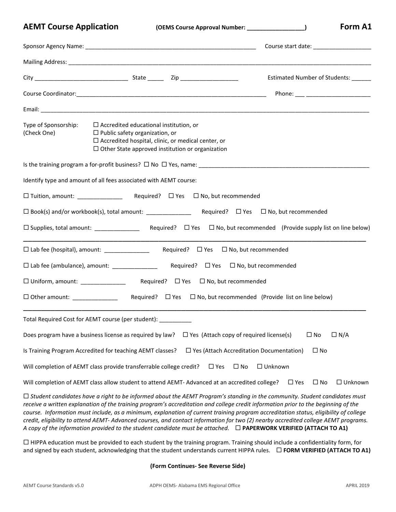**AEMT Course Application (OEMS Course Approval Number: \_\_\_\_\_\_\_\_\_\_\_\_\_\_\_\_\_\_) Form A1**

|                                                                                                                                                                                                                                                                                                                                                                                                                                                                                                                                                                                                                                                                                 |                                                                                                                                                                                                                |            |                                                 |                         | Course start date: <u>contract and the start date</u> |
|---------------------------------------------------------------------------------------------------------------------------------------------------------------------------------------------------------------------------------------------------------------------------------------------------------------------------------------------------------------------------------------------------------------------------------------------------------------------------------------------------------------------------------------------------------------------------------------------------------------------------------------------------------------------------------|----------------------------------------------------------------------------------------------------------------------------------------------------------------------------------------------------------------|------------|-------------------------------------------------|-------------------------|-------------------------------------------------------|
|                                                                                                                                                                                                                                                                                                                                                                                                                                                                                                                                                                                                                                                                                 |                                                                                                                                                                                                                |            |                                                 |                         |                                                       |
|                                                                                                                                                                                                                                                                                                                                                                                                                                                                                                                                                                                                                                                                                 |                                                                                                                                                                                                                |            |                                                 |                         | Estimated Number of Students: ______                  |
|                                                                                                                                                                                                                                                                                                                                                                                                                                                                                                                                                                                                                                                                                 |                                                                                                                                                                                                                |            |                                                 |                         | Phone: ____ ________________________                  |
|                                                                                                                                                                                                                                                                                                                                                                                                                                                                                                                                                                                                                                                                                 |                                                                                                                                                                                                                |            |                                                 |                         |                                                       |
| Type of Sponsorship:<br>(Check One)                                                                                                                                                                                                                                                                                                                                                                                                                                                                                                                                                                                                                                             | $\Box$ Accredited educational institution, or<br>$\Box$ Public safety organization, or<br>$\Box$ Accredited hospital, clinic, or medical center, or<br>$\Box$ Other State approved institution or organization |            |                                                 |                         |                                                       |
|                                                                                                                                                                                                                                                                                                                                                                                                                                                                                                                                                                                                                                                                                 |                                                                                                                                                                                                                |            |                                                 |                         |                                                       |
| Identify type and amount of all fees associated with AEMT course:                                                                                                                                                                                                                                                                                                                                                                                                                                                                                                                                                                                                               |                                                                                                                                                                                                                |            |                                                 |                         |                                                       |
|                                                                                                                                                                                                                                                                                                                                                                                                                                                                                                                                                                                                                                                                                 |                                                                                                                                                                                                                |            |                                                 |                         |                                                       |
|                                                                                                                                                                                                                                                                                                                                                                                                                                                                                                                                                                                                                                                                                 |                                                                                                                                                                                                                |            |                                                 |                         |                                                       |
|                                                                                                                                                                                                                                                                                                                                                                                                                                                                                                                                                                                                                                                                                 |                                                                                                                                                                                                                |            |                                                 |                         |                                                       |
| $\square$ Lab fee (hospital), amount: $\square$                                                                                                                                                                                                                                                                                                                                                                                                                                                                                                                                                                                                                                 |                                                                                                                                                                                                                |            | Required? $\Box$ Yes $\Box$ No, but recommended |                         |                                                       |
|                                                                                                                                                                                                                                                                                                                                                                                                                                                                                                                                                                                                                                                                                 |                                                                                                                                                                                                                |            |                                                 |                         |                                                       |
| □ Uniform, amount: __________________  Required? □ Yes □ No, but recommended                                                                                                                                                                                                                                                                                                                                                                                                                                                                                                                                                                                                    |                                                                                                                                                                                                                |            |                                                 |                         |                                                       |
|                                                                                                                                                                                                                                                                                                                                                                                                                                                                                                                                                                                                                                                                                 |                                                                                                                                                                                                                |            |                                                 |                         |                                                       |
| Total Required Cost for AEMT course (per student): _________                                                                                                                                                                                                                                                                                                                                                                                                                                                                                                                                                                                                                    |                                                                                                                                                                                                                |            |                                                 |                         |                                                       |
| Does program have a business license as required by law?                                                                                                                                                                                                                                                                                                                                                                                                                                                                                                                                                                                                                        |                                                                                                                                                                                                                |            | $\Box$ Yes (Attach copy of required license(s)  | $\square$ No            | $\Box N/A$                                            |
| Is Training Program Accredited for teaching AEMT classes?                                                                                                                                                                                                                                                                                                                                                                                                                                                                                                                                                                                                                       |                                                                                                                                                                                                                |            | $\Box$ Yes (Attach Accreditation Documentation) | $\square$ No            |                                                       |
| Will completion of AEMT class provide transferrable college credit?                                                                                                                                                                                                                                                                                                                                                                                                                                                                                                                                                                                                             |                                                                                                                                                                                                                | $\Box$ Yes | $\square$ No<br>$\Box$ Unknown                  |                         |                                                       |
| Will completion of AEMT class allow student to attend AEMT- Advanced at an accredited college?                                                                                                                                                                                                                                                                                                                                                                                                                                                                                                                                                                                  |                                                                                                                                                                                                                |            |                                                 | $\Box$ Yes<br>$\Box$ No | $\Box$ Unknown                                        |
| $\Box$ Student candidates have a right to be informed about the AEMT Program's standing in the community. Student candidates must<br>receive a written explanation of the training program's accreditation and college credit information prior to the beginning of the<br>course. Information must include, as a minimum, explanation of current training program accreditation status, eligibility of college<br>credit, eligibility to attend AEMT- Advanced courses, and contact information for two (2) nearby accredited college AEMT programs.<br>A copy of the information provided to the student candidate must be attached. $\Box$ PAPERWORK VERIFIED (ATTACH TO A1) |                                                                                                                                                                                                                |            |                                                 |                         |                                                       |
| □ HIPPA education must be provided to each student by the training program. Training should include a confidentiality form, for                                                                                                                                                                                                                                                                                                                                                                                                                                                                                                                                                 |                                                                                                                                                                                                                |            |                                                 |                         |                                                       |

and signed by each student, acknowledging that the student understands current HIPPA rules. **FORM VERIFIED (ATTACH TO A1)**

**(Form Continues- See Reverse Side)**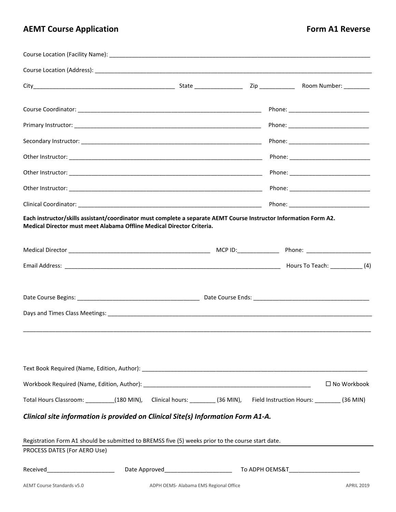## **AEMT** Course Application **ALCO CONTROLLER IN A SECOND REVERSE** Form A1 Reverse

|                                                                                                                                                                                            |                                        |  |  | Phone: _______________________________                                                                              |
|--------------------------------------------------------------------------------------------------------------------------------------------------------------------------------------------|----------------------------------------|--|--|---------------------------------------------------------------------------------------------------------------------|
|                                                                                                                                                                                            |                                        |  |  |                                                                                                                     |
|                                                                                                                                                                                            |                                        |  |  |                                                                                                                     |
|                                                                                                                                                                                            |                                        |  |  |                                                                                                                     |
| Each instructor/skills assistant/coordinator must complete a separate AEMT Course Instructor Information Form A2.<br>Medical Director must meet Alabama Offline Medical Director Criteria. |                                        |  |  |                                                                                                                     |
|                                                                                                                                                                                            |                                        |  |  |                                                                                                                     |
|                                                                                                                                                                                            |                                        |  |  |                                                                                                                     |
|                                                                                                                                                                                            |                                        |  |  |                                                                                                                     |
|                                                                                                                                                                                            |                                        |  |  | $\square$ No Workbook                                                                                               |
|                                                                                                                                                                                            |                                        |  |  | Total Hours Classroom: ________(180 MIN), Clinical hours: _______(36 MIN), Field Instruction Hours: _______(36 MIN) |
| Clinical site information is provided on Clinical Site(s) Information Form A1-A.<br>Registration Form A1 should be submitted to BREMSS five (5) weeks prior to the course start date.      |                                        |  |  |                                                                                                                     |
| PROCESS DATES (For AERO Use)                                                                                                                                                               |                                        |  |  |                                                                                                                     |
|                                                                                                                                                                                            |                                        |  |  |                                                                                                                     |
| AEMT Course Standards v5.0                                                                                                                                                                 | ADPH OEMS- Alabama EMS Regional Office |  |  | <b>APRIL 2019</b>                                                                                                   |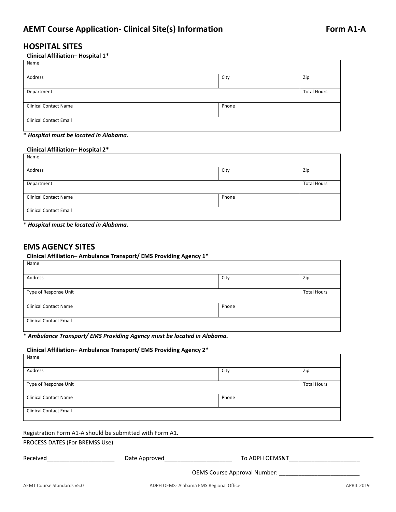#### **HOSPITAL SITES**

#### **Clinical Affiliation– Hospital 1\***

| Name                          |       |                    |
|-------------------------------|-------|--------------------|
| Address                       | City  | Zip                |
| Department                    |       | <b>Total Hours</b> |
| <b>Clinical Contact Name</b>  | Phone |                    |
| <b>Clinical Contact Email</b> |       |                    |

#### \* *Hospital must be located in Alabama.*

#### **Clinical Affiliation– Hospital 2\***

| Name                          |       |                    |
|-------------------------------|-------|--------------------|
| Address                       | City  | Zip                |
| Department                    |       | <b>Total Hours</b> |
| <b>Clinical Contact Name</b>  | Phone |                    |
| <b>Clinical Contact Email</b> |       |                    |

\* *Hospital must be located in Alabama.*

#### **EMS AGENCY SITES**

#### **Clinical Affiliation– Ambulance Transport/ EMS Providing Agency 1\***

| Name                          |       |                    |
|-------------------------------|-------|--------------------|
| Address                       | City  | Zip                |
| Type of Response Unit         |       | <b>Total Hours</b> |
| <b>Clinical Contact Name</b>  | Phone |                    |
| <b>Clinical Contact Email</b> |       |                    |

#### \* *Ambulance Transport/ EMS Providing Agency must be located in Alabama.*

#### **Clinical Affiliation– Ambulance Transport/ EMS Providing Agency 2\*** Name

| <b>IVAILLE</b>                |       |                    |
|-------------------------------|-------|--------------------|
| Address                       | City  | Zip                |
|                               |       |                    |
| Type of Response Unit         |       | <b>Total Hours</b> |
|                               |       |                    |
| <b>Clinical Contact Name</b>  | Phone |                    |
|                               |       |                    |
| <b>Clinical Contact Email</b> |       |                    |
|                               |       |                    |
|                               |       |                    |

#### Registration Form A1-A should be submitted with Form A1.

#### PROCESS DATES (For BREMSS Use)

| Received | Date Approved | To ADPH OEMS&T                      |
|----------|---------------|-------------------------------------|
|          |               | <b>OEMS Course Approval Number:</b> |
|          |               |                                     |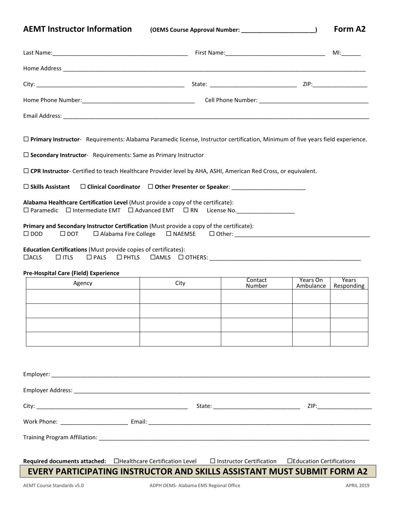**AEMT Instructor Information (OEMS Course Approval Number: \_\_\_\_\_\_\_\_\_\_\_\_\_\_\_\_\_\_\_\_\_\_\_) Form A2**

|                                                                                                                                                            |                                                                      |                                     |                       | MI: and the state of the state of the state of the state of the state of the state of the state of the state o |
|------------------------------------------------------------------------------------------------------------------------------------------------------------|----------------------------------------------------------------------|-------------------------------------|-----------------------|----------------------------------------------------------------------------------------------------------------|
|                                                                                                                                                            |                                                                      |                                     |                       |                                                                                                                |
|                                                                                                                                                            |                                                                      |                                     |                       |                                                                                                                |
|                                                                                                                                                            |                                                                      |                                     |                       |                                                                                                                |
|                                                                                                                                                            |                                                                      |                                     |                       |                                                                                                                |
| □ Primary Instructor- Requirements: Alabama Paramedic license, Instructor certification, Minimum of five years field experience.                           |                                                                      |                                     |                       |                                                                                                                |
| $\square$ Secondary Instructor- Requirements: Same as Primary Instructor                                                                                   |                                                                      |                                     |                       |                                                                                                                |
| □ CPR Instructor- Certified to teach Healthcare Provider level by AHA, ASHI, American Red Cross, or equivalent.                                            |                                                                      |                                     |                       |                                                                                                                |
| $\Box$ Skills Assistant                                                                                                                                    | $\square$ Clinical Coordinator $\square$ Other Presenter or Speaker: |                                     |                       |                                                                                                                |
| Alabama Healthcare Certification Level (Must provide a copy of the certificate):<br>$\Box$ Paramedic $\Box$ Intermediate EMT $\Box$ Advanced EMT $\Box$ RN |                                                                      | License No. _______________________ |                       |                                                                                                                |
| Primary and Secondary Instructor Certification (Must provide a copy of the certificate):<br>$\square$ DOD<br>$\Box$ DOT                                    |                                                                      |                                     |                       |                                                                                                                |
| Education Certifications (Must provide copies of certificates):<br>$\Box$ PHTLS<br>$\Box$ ACLS<br>$\Box$ ITLS<br>$\square$ PALS                            |                                                                      |                                     |                       |                                                                                                                |
| <b>Pre-Hospital Care (Field) Experience</b>                                                                                                                |                                                                      |                                     |                       |                                                                                                                |
| Agency                                                                                                                                                     | City                                                                 | Contact<br>Number                   | Years On<br>Ambulance | Years<br>Responding                                                                                            |
|                                                                                                                                                            |                                                                      |                                     |                       |                                                                                                                |
|                                                                                                                                                            |                                                                      |                                     |                       |                                                                                                                |
|                                                                                                                                                            |                                                                      |                                     |                       |                                                                                                                |
|                                                                                                                                                            |                                                                      |                                     |                       |                                                                                                                |
|                                                                                                                                                            |                                                                      |                                     |                       |                                                                                                                |
|                                                                                                                                                            |                                                                      |                                     |                       |                                                                                                                |
|                                                                                                                                                            |                                                                      |                                     |                       |                                                                                                                |
|                                                                                                                                                            |                                                                      |                                     |                       | ZIP: Andrea Maria Maria Santonia (1987)                                                                        |
|                                                                                                                                                            |                                                                      |                                     |                       |                                                                                                                |

Training Program Affiliation: \_\_\_\_\_\_\_\_\_\_\_\_\_\_\_\_\_\_\_\_\_\_\_\_\_\_\_\_\_\_\_\_\_\_\_\_\_\_\_\_\_\_\_\_\_\_\_\_\_\_\_\_\_\_\_\_\_\_\_\_\_\_\_\_\_\_\_\_\_\_\_\_\_\_\_\_\_\_\_\_\_\_\_\_

**Required documents attached:** Healthcare Certification Level Instructor Certification Education Certifications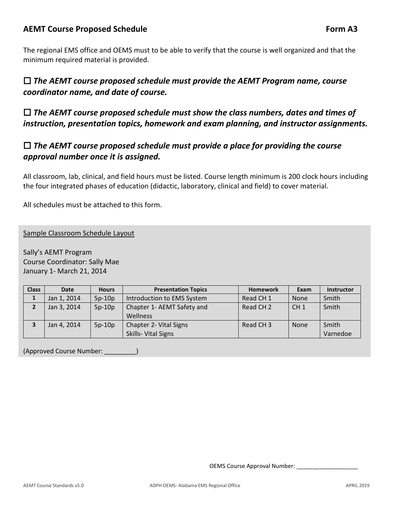#### **AEMT** Course Proposed Schedule **Form A3 Form A3**

The regional EMS office and OEMS must to be able to verify that the course is well organized and that the minimum required material is provided.

## *The AEMT course proposed schedule must provide the AEMT Program name, course coordinator name, and date of course.*

 *The AEMT course proposed schedule must show the class numbers, dates and times of instruction, presentation topics, homework and exam planning, and instructor assignments.*

## *The AEMT course proposed schedule must provide a place for providing the course approval number once it is assigned.*

All classroom, lab, clinical, and field hours must be listed. Course length minimum is 200 clock hours including the four integrated phases of education (didactic, laboratory, clinical and field) to cover material.

All schedules must be attached to this form.

Sample Classroom Schedule Layout

Sally's AEMT Program Course Coordinator: Sally Mae January 1- March 21, 2014

| <b>Class</b> | <b>Date</b> | <b>Hours</b> | <b>Presentation Topics</b>                    | <b>Homework</b>      | Exam            | <b>Instructor</b> |
|--------------|-------------|--------------|-----------------------------------------------|----------------------|-----------------|-------------------|
| ı            | Jan 1, 2014 | $5p-10p$     | Introduction to EMS System                    | Read CH <sub>1</sub> | <b>None</b>     | Smith             |
|              | Jan 3, 2014 | $5p-10p$     | Chapter 1- AEMT Safety and<br>Wellness        | Read CH <sub>2</sub> | CH <sub>1</sub> | Smith             |
|              | Jan 4, 2014 | $5p-10p$     | Chapter 2- Vital Signs<br>Skills- Vital Signs | Read CH <sub>3</sub> | <b>None</b>     | Smith<br>Varnedoe |

(Approved Course Number: \_\_\_\_\_\_\_\_\_)

OEMS Course Approval Number: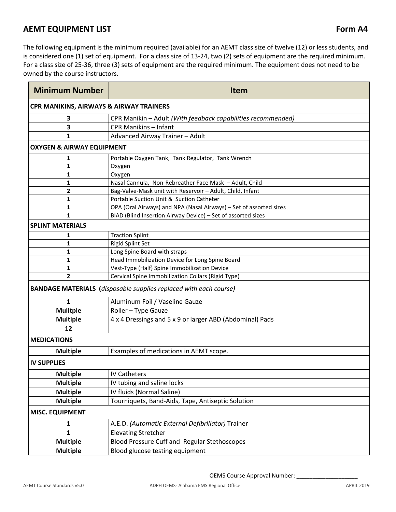#### **AEMT EQUIPMENT LIST EXECUTE: ALCOREGIST A CONSTRUCTED A 24 <b>Form A4**

The following equipment is the minimum required (available) for an AEMT class size of twelve (12) or less students, and is considered one (1) set of equipment. For a class size of 13-24, two (2) sets of equipment are the required minimum. For a class size of 25-36, three (3) sets of equipment are the required minimum. The equipment does not need to be owned by the course instructors.

| <b>Minimum Number</b>                | <b>Item</b>                                                              |  |  |  |  |  |
|--------------------------------------|--------------------------------------------------------------------------|--|--|--|--|--|
|                                      | <b>CPR MANIKINS, AIRWAYS &amp; AIRWAY TRAINERS</b>                       |  |  |  |  |  |
| 3                                    | CPR Manikin - Adult (With feedback capabilities recommended)             |  |  |  |  |  |
| 3                                    | <b>CPR Manikins - Infant</b>                                             |  |  |  |  |  |
| 1                                    | Advanced Airway Trainer - Adult                                          |  |  |  |  |  |
| <b>OXYGEN &amp; AIRWAY EQUIPMENT</b> |                                                                          |  |  |  |  |  |
| 1                                    | Portable Oxygen Tank, Tank Regulator, Tank Wrench                        |  |  |  |  |  |
| 1                                    | Oxygen                                                                   |  |  |  |  |  |
| 1                                    | Oxygen                                                                   |  |  |  |  |  |
| 1                                    | Nasal Cannula, Non-Rebreather Face Mask - Adult, Child                   |  |  |  |  |  |
| 2                                    | Bag-Valve-Mask unit with Reservoir - Adult, Child, Infant                |  |  |  |  |  |
| 1                                    | Portable Suction Unit & Suction Catheter                                 |  |  |  |  |  |
| 1                                    | OPA (Oral Airways) and NPA (Nasal Airways) - Set of assorted sizes       |  |  |  |  |  |
| 1                                    | BIAD (Blind Insertion Airway Device) - Set of assorted sizes             |  |  |  |  |  |
| <b>SPLINT MATERIALS</b>              |                                                                          |  |  |  |  |  |
| 1                                    | <b>Traction Splint</b>                                                   |  |  |  |  |  |
| 1                                    | Rigid Splint Set                                                         |  |  |  |  |  |
| 1                                    | Long Spine Board with straps                                             |  |  |  |  |  |
| 1                                    | Head Immobilization Device for Long Spine Board                          |  |  |  |  |  |
| 1                                    | Vest-Type (Half) Spine Immobilization Device                             |  |  |  |  |  |
| $\overline{2}$                       | Cervical Spine Immobilization Collars (Rigid Type)                       |  |  |  |  |  |
|                                      | <b>BANDAGE MATERIALS</b> (disposable supplies replaced with each course) |  |  |  |  |  |
| $\mathbf{1}$                         | Aluminum Foil / Vaseline Gauze                                           |  |  |  |  |  |
| <b>Mulitple</b>                      | Roller - Type Gauze                                                      |  |  |  |  |  |
| <b>Multiple</b>                      | 4 x 4 Dressings and 5 x 9 or larger ABD (Abdominal) Pads                 |  |  |  |  |  |
| 12                                   |                                                                          |  |  |  |  |  |
| <b>MEDICATIONS</b>                   |                                                                          |  |  |  |  |  |
| <b>Multiple</b>                      | Examples of medications in AEMT scope.                                   |  |  |  |  |  |
| <b>IV SUPPLIES</b>                   |                                                                          |  |  |  |  |  |
| <b>Multiple</b>                      | <b>IV Catheters</b>                                                      |  |  |  |  |  |
| <b>Multiple</b>                      | IV tubing and saline locks                                               |  |  |  |  |  |
| <b>Multiple</b>                      | IV fluids (Normal Saline)                                                |  |  |  |  |  |
| <b>Multiple</b>                      | Tourniquets, Band-Aids, Tape, Antiseptic Solution                        |  |  |  |  |  |
| <b>MISC. EQUIPMENT</b>               |                                                                          |  |  |  |  |  |
| 1                                    | A.E.D. (Automatic External Defibrillator) Trainer                        |  |  |  |  |  |
| $\mathbf{1}$                         | <b>Elevating Stretcher</b>                                               |  |  |  |  |  |
| <b>Multiple</b>                      | Blood Pressure Cuff and Regular Stethoscopes                             |  |  |  |  |  |
| <b>Multiple</b>                      | Blood glucose testing equipment                                          |  |  |  |  |  |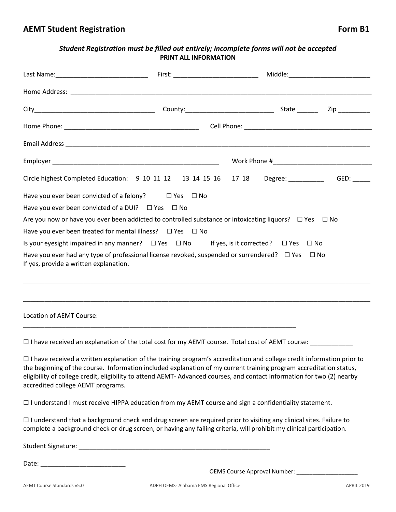#### *Student Registration must be filled out entirely; incomplete forms will not be accepted* **PRINT ALL INFORMATION**

|                                                                                                                                                      | First: ________________________________ |  |  |
|------------------------------------------------------------------------------------------------------------------------------------------------------|-----------------------------------------|--|--|
|                                                                                                                                                      |                                         |  |  |
|                                                                                                                                                      |                                         |  |  |
|                                                                                                                                                      |                                         |  |  |
|                                                                                                                                                      |                                         |  |  |
|                                                                                                                                                      |                                         |  |  |
| Circle highest Completed Education: 9 10 11 12 13 14 15 16 17 18 Degree: _______                                                                     |                                         |  |  |
| Have you ever been convicted of a felony? $\square$ Yes $\square$ No                                                                                 |                                         |  |  |
| Have you ever been convicted of a DUI? $\Box$ Yes $\Box$ No                                                                                          |                                         |  |  |
| Are you now or have you ever been addicted to controlled substance or intoxicating liquors? $\Box$ Yes $\Box$ No                                     |                                         |  |  |
| Have you ever been treated for mental illness? $\Box$ Yes $\Box$ No                                                                                  |                                         |  |  |
| Is your eyesight impaired in any manner? $\Box$ Yes $\Box$ No If yes, is it corrected? $\Box$ Yes $\Box$ No                                          |                                         |  |  |
| Have you ever had any type of professional license revoked, suspended or surrendered? $\Box$ Yes $\Box$ No<br>If yes, provide a written explanation. |                                         |  |  |
|                                                                                                                                                      |                                         |  |  |

Location of AEMT Course:

 $\square$  I have received an explanation of the total cost for my AEMT course. Total cost of AEMT course:  $\square$ 

\_\_\_\_\_\_\_\_\_\_\_\_\_\_\_\_\_\_\_\_\_\_\_\_\_\_\_\_\_\_\_\_\_\_\_\_\_\_\_\_\_\_\_\_\_\_\_\_\_\_\_\_\_\_\_\_\_\_\_\_\_\_\_\_\_\_\_\_\_\_\_\_\_\_\_\_\_

 I have received a written explanation of the training program's accreditation and college credit information prior to the beginning of the course. Information included explanation of my current training program accreditation status, eligibility of college credit, eligibility to attend AEMT- Advanced courses, and contact information for two (2) nearby accredited college AEMT programs.

\_\_\_\_\_\_\_\_\_\_\_\_\_\_\_\_\_\_\_\_\_\_\_\_\_\_\_\_\_\_\_\_\_\_\_\_\_\_\_\_\_\_\_\_\_\_\_\_\_\_\_\_\_\_\_\_\_\_\_\_\_\_\_\_\_\_\_\_\_\_\_\_\_\_\_\_\_\_\_\_\_\_\_\_\_\_\_\_\_\_\_\_\_\_\_\_\_\_

 $\Box$  I understand I must receive HIPPA education from my AEMT course and sign a confidentiality statement.

 $\Box$  I understand that a background check and drug screen are required prior to visiting any clinical sites. Failure to complete a background check or drug screen, or having any failing criteria, will prohibit my clinical participation.

Student Signature: \_\_\_\_\_\_\_\_\_\_\_\_\_\_\_\_\_\_\_\_\_\_\_\_\_\_\_\_\_\_\_\_\_\_\_\_\_\_\_\_\_\_\_\_\_\_\_\_\_\_\_\_\_\_

Date:  $\Box$ 

OEMS Course Approval Number: \_\_\_\_\_\_\_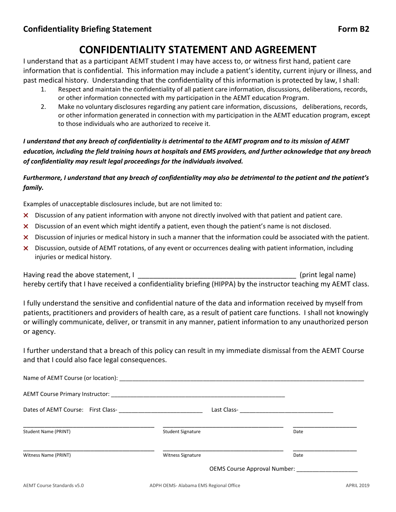## **CONFIDENTIALITY STATEMENT AND AGREEMENT**

I understand that as a participant AEMT student I may have access to, or witness first hand, patient care information that is confidential. This information may include a patient's identity, current injury or illness, and past medical history. Understanding that the confidentiality of this information is protected by law, I shall:

- 1. Respect and maintain the confidentiality of all patient care information, discussions, deliberations, records, or other information connected with my participation in the AEMT education Program.
- 2. Make no voluntary disclosures regarding any patient care information, discussions, deliberations, records, or other information generated in connection with my participation in the AEMT education program, except to those individuals who are authorized to receive it.

*I understand that any breach of confidentiality is detrimental to the AEMT program and to its mission of AEMT education, including the field training hours at hospitals and EMS providers, and further acknowledge that any breach of confidentiality may result legal proceedings for the individuals involved.*

*Furthermore, I understand that any breach of confidentiality may also be detrimental to the patient and the patient's family.*

Examples of unacceptable disclosures include, but are not limited to:

- × Discussion of any patient information with anyone not directly involved with that patient and patient care.
- × Discussion of an event which might identify a patient, even though the patient's name is not disclosed.
- × Discussion of injuries or medical history in such a manner that the information could be associated with the patient.
- × Discussion, outside of AEMT rotations, of any event or occurrences dealing with patient information, including injuries or medical history.

Having read the above statement, I contribute the statement of the statement of the statement of the statement hereby certify that I have received a confidentiality briefing (HIPPA) by the instructor teaching my AEMT class.

I fully understand the sensitive and confidential nature of the data and information received by myself from patients, practitioners and providers of health care, as a result of patient care functions. I shall not knowingly or willingly communicate, deliver, or transmit in any manner, patient information to any unauthorized person or agency.

I further understand that a breach of this policy can result in my immediate dismissal from the AEMT Course and that I could also face legal consequences.

| Student Name (PRINT)       | <b>Student Signature</b>              | Date              |
|----------------------------|---------------------------------------|-------------------|
| Witness Name (PRINT)       | <b>Witness Signature</b>              | Date              |
|                            |                                       |                   |
| AEMT Course Standards v5.0 | ADPH OEMS-Alabama EMS Regional Office | <b>APRIL 2019</b> |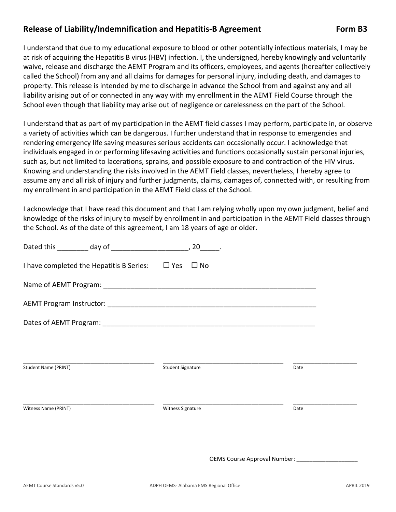#### Release of Liability/Indemnification and Hepatitis-B Agreement Form B3

I understand that due to my educational exposure to blood or other potentially infectious materials, I may be at risk of acquiring the Hepatitis B virus (HBV) infection. I, the undersigned, hereby knowingly and voluntarily waive, release and discharge the AEMT Program and its officers, employees, and agents (hereafter collectively called the School) from any and all claims for damages for personal injury, including death, and damages to property. This release is intended by me to discharge in advance the School from and against any and all liability arising out of or connected in any way with my enrollment in the AEMT Field Course through the School even though that liability may arise out of negligence or carelessness on the part of the School.

I understand that as part of my participation in the AEMT field classes I may perform, participate in, or observe a variety of activities which can be dangerous. I further understand that in response to emergencies and rendering emergency life saving measures serious accidents can occasionally occur. I acknowledge that individuals engaged in or performing lifesaving activities and functions occasionally sustain personal injuries, such as, but not limited to lacerations, sprains, and possible exposure to and contraction of the HIV virus. Knowing and understanding the risks involved in the AEMT Field classes, nevertheless, I hereby agree to assume any and all risk of injury and further judgments, claims, damages of, connected with, or resulting from my enrollment in and participation in the AEMT Field class of the School.

I acknowledge that I have read this document and that I am relying wholly upon my own judgment, belief and knowledge of the risks of injury to myself by enrollment in and participation in the AEMT Field classes through the School. As of the date of this agreement, I am 18 years of age or older.

|                                                               | $20$ .                         |      |
|---------------------------------------------------------------|--------------------------------|------|
| I have completed the Hepatitis B Series: $\Box$ Yes $\Box$ No |                                |      |
|                                                               |                                |      |
|                                                               |                                |      |
|                                                               |                                |      |
|                                                               |                                |      |
|                                                               |                                |      |
| Student Name (PRINT)                                          | <b>Student Signature</b>       | Date |
|                                                               |                                |      |
| Witness Name (PRINT)                                          | <b>Witness Signature</b>       | Date |
|                                                               |                                |      |
|                                                               |                                |      |
|                                                               | OEMS Course Approval Number: _ |      |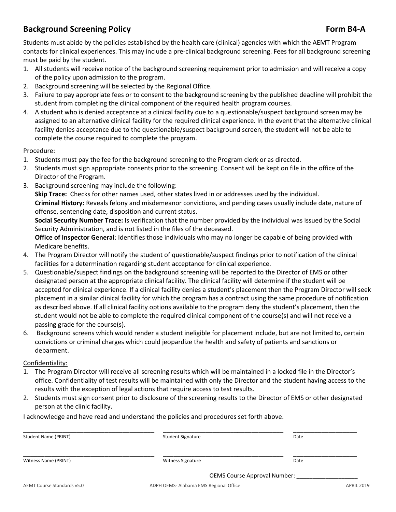## **Background Screening Policy Form B4-A**

Students must abide by the policies established by the health care (clinical) agencies with which the AEMT Program contacts for clinical experiences. This may include a pre-clinical background screening. Fees for all background screening must be paid by the student.

- 1. All students will receive notice of the background screening requirement prior to admission and will receive a copy of the policy upon admission to the program.
- 2. Background screening will be selected by the Regional Office.
- 3. Failure to pay appropriate fees or to consent to the background screening by the published deadline will prohibit the student from completing the clinical component of the required health program courses.
- 4. A student who is denied acceptance at a clinical facility due to a questionable/suspect background screen may be assigned to an alternative clinical facility for the required clinical experience. In the event that the alternative clinical facility denies acceptance due to the questionable/suspect background screen, the student will not be able to complete the course required to complete the program.

#### Procedure:

- 1. Students must pay the fee for the background screening to the Program clerk or as directed.
- 2. Students must sign appropriate consents prior to the screening. Consent will be kept on file in the office of the Director of the Program.
- 3. Background screening may include the following:

**Skip Trace:** Checks for other names used, other states lived in or addresses used by the individual. **Criminal History:** Reveals felony and misdemeanor convictions, and pending cases usually include date, nature of offense, sentencing date, disposition and current status.

**Social Security Number Trace:** Is verification that the number provided by the individual was issued by the Social Security Administration, and is not listed in the files of the deceased.

**Office of Inspector General**: Identifies those individuals who may no longer be capable of being provided with Medicare benefits.

- 4. The Program Director will notify the student of questionable/suspect findings prior to notification of the clinical facilities for a determination regarding student acceptance for clinical experience.
- 5. Questionable/suspect findings on the background screening will be reported to the Director of EMS or other designated person at the appropriate clinical facility. The clinical facility will determine if the student will be accepted for clinical experience. If a clinical facility denies a student's placement then the Program Director will seek placement in a similar clinical facility for which the program has a contract using the same procedure of notification as described above. If all clinical facility options available to the program deny the student's placement, then the student would not be able to complete the required clinical component of the course(s) and will not receive a passing grade for the course(s).
- 6. Background screens which would render a student ineligible for placement include, but are not limited to, certain convictions or criminal charges which could jeopardize the health and safety of patients and sanctions or debarment.

#### Confidentiality:

- 1. The Program Director will receive all screening results which will be maintained in a locked file in the Director's office. Confidentiality of test results will be maintained with only the Director and the student having access to the results with the exception of legal actions that require access to test results.
- 2. Students must sign consent prior to disclosure of the screening results to the Director of EMS or other designated person at the clinic facility.

I acknowledge and have read and understand the policies and procedures set forth above.

| Student Name (PRINT) | <b>Student Signature</b> | Date                         |
|----------------------|--------------------------|------------------------------|
| Witness Name (PRINT) | <b>Witness Signature</b> | Date                         |
|                      |                          | OEMS Course Approval Number: |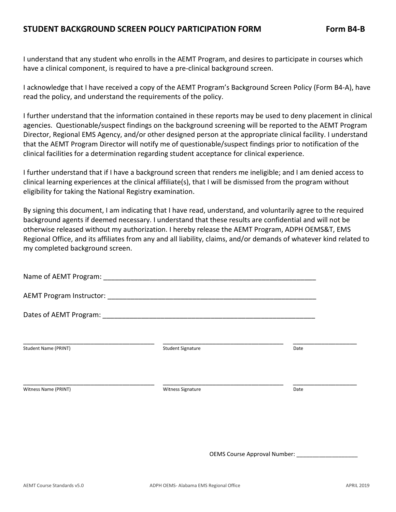I understand that any student who enrolls in the AEMT Program, and desires to participate in courses which have a clinical component, is required to have a pre-clinical background screen.

I acknowledge that I have received a copy of the AEMT Program's Background Screen Policy (Form B4-A), have read the policy, and understand the requirements of the policy.

I further understand that the information contained in these reports may be used to deny placement in clinical agencies. Questionable/suspect findings on the background screening will be reported to the AEMT Program Director, Regional EMS Agency, and/or other designed person at the appropriate clinical facility. I understand that the AEMT Program Director will notify me of questionable/suspect findings prior to notification of the clinical facilities for a determination regarding student acceptance for clinical experience.

I further understand that if I have a background screen that renders me ineligible; and I am denied access to clinical learning experiences at the clinical affiliate(s), that I will be dismissed from the program without eligibility for taking the National Registry examination.

By signing this document, I am indicating that I have read, understand, and voluntarily agree to the required background agents if deemed necessary. I understand that these results are confidential and will not be otherwise released without my authorization. I hereby release the AEMT Program, ADPH OEMS&T, EMS Regional Office, and its affiliates from any and all liability, claims, and/or demands of whatever kind related to my completed background screen.

| Name of AEMT Program: ________ |                          |      |
|--------------------------------|--------------------------|------|
|                                |                          |      |
|                                |                          |      |
| Student Name (PRINT)           | <b>Student Signature</b> | Date |
| Witness Name (PRINT)           | Witness Signature        | Date |
|                                |                          |      |
|                                |                          |      |

OEMS Course Approval Number: \_\_\_\_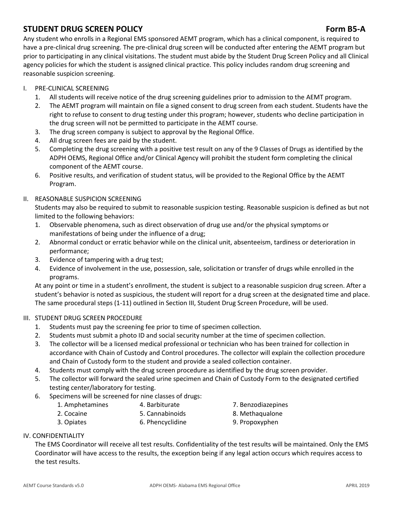### **STUDENT DRUG SCREEN POLICY Form B5-A**

Any student who enrolls in a Regional EMS sponsored AEMT program, which has a clinical component, is required to have a pre-clinical drug screening. The pre-clinical drug screen will be conducted after entering the AEMT program but prior to participating in any clinical visitations. The student must abide by the Student Drug Screen Policy and all Clinical agency policies for which the student is assigned clinical practice. This policy includes random drug screening and reasonable suspicion screening.

- I. PRE-CLINICAL SCREENING
	- 1. All students will receive notice of the drug screening guidelines prior to admission to the AEMT program.
	- 2. The AEMT program will maintain on file a signed consent to drug screen from each student. Students have the right to refuse to consent to drug testing under this program; however, students who decline participation in the drug screen will not be permitted to participate in the AEMT course.
	- 3. The drug screen company is subject to approval by the Regional Office.
	- 4. All drug screen fees are paid by the student.
	- 5. Completing the drug screening with a positive test result on any of the 9 Classes of Drugs as identified by the ADPH OEMS, Regional Office and/or Clinical Agency will prohibit the student form completing the clinical component of the AEMT course.
	- 6. Positive results, and verification of student status, will be provided to the Regional Office by the AEMT Program.

#### II. REASONABLE SUSPICION SCREENING

Students may also be required to submit to reasonable suspicion testing. Reasonable suspicion is defined as but not limited to the following behaviors:

- 1. Observable phenomena, such as direct observation of drug use and/or the physical symptoms or manifestations of being under the influence of a drug;
- 2. Abnormal conduct or erratic behavior while on the clinical unit, absenteeism, tardiness or deterioration in performance;
- 3. Evidence of tampering with a drug test;
- 4. Evidence of involvement in the use, possession, sale, solicitation or transfer of drugs while enrolled in the programs.

At any point or time in a student's enrollment, the student is subject to a reasonable suspicion drug screen. After a student's behavior is noted as suspicious, the student will report for a drug screen at the designated time and place. The same procedural steps (1-11) outlined in Section III, Student Drug Screen Procedure, will be used.

#### III. STUDENT DRUG SCREEN PROCEDURE

- 1. Students must pay the screening fee prior to time of specimen collection.
- 2. Students must submit a photo ID and social security number at the time of specimen collection.
- 3. The collector will be a licensed medical professional or technician who has been trained for collection in accordance with Chain of Custody and Control procedures. The collector will explain the collection procedure and Chain of Custody form to the student and provide a sealed collection container.
- 4. Students must comply with the drug screen procedure as identified by the drug screen provider.
- 5. The collector will forward the sealed urine specimen and Chain of Custody Form to the designated certified testing center/laboratory for testing.
- 6. Specimens will be screened for nine classes of drugs:
	- 1. Amphetamines 4. Barbiturate 7. Benzodiazepines
	- 2. Cocaine **5. Cannabinoids** 8. Methaqualone
- -
	- 3. Opiates 6. Phencyclidine 9. Propoxyphen
- 

#### IV. CONFIDENTIALITY

The EMS Coordinator will receive all test results. Confidentiality of the test results will be maintained. Only the EMS Coordinator will have access to the results, the exception being if any legal action occurs which requires access to the test results.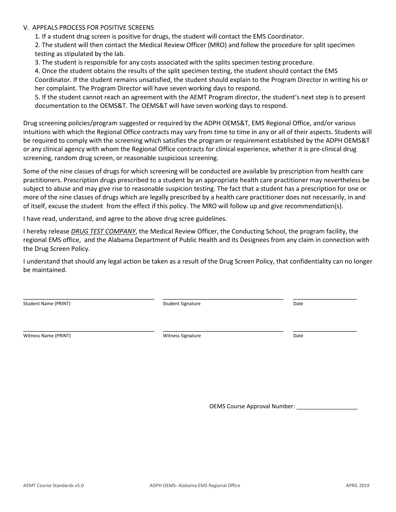#### V. APPEALS PROCESS FOR POSITIVE SCREENS

1. If a student drug screen is positive for drugs, the student will contact the EMS Coordinator.

2. The student will then contact the Medical Review Officer (MRO) and follow the procedure for split specimen testing as stipulated by the lab.

3. The student is responsible for any costs associated with the splits specimen testing procedure.

4. Once the student obtains the results of the split specimen testing, the student should contact the EMS Coordinator. If the student remains unsatisfied, the student should explain to the Program Director in writing his or her complaint. The Program Director will have seven working days to respond.

5. If the student cannot reach an agreement with the AEMT Program director, the student's next step is to present documentation to the OEMS&T. The OEMS&T will have seven working days to respond.

Drug screening policies/program suggested or required by the ADPH OEMS&T, EMS Regional Office, and/or various intuitions with which the Regional Office contracts may vary from time to time in any or all of their aspects. Students will be required to comply with the screening which satisfies the program or requirement established by the ADPH OEMS&T or any clinical agency with whom the Regional Office contracts for clinical experience, whether it is pre-clinical drug screening, random drug screen, or reasonable suspicious screening.

Some of the nine classes of drugs for which screening will be conducted are available by prescription from health care practitioners. Prescription drugs prescribed to a student by an appropriate health care practitioner may nevertheless be subject to abuse and may give rise to reasonable suspicion testing. The fact that a student has a prescription for one or more of the nine classes of drugs which are legally prescribed by a health care practitioner does not necessarily, in and of itself, excuse the student from the effect if this policy. The MRO will follow up and give recommendation(s).

I have read, understand, and agree to the above drug scree guidelines.

I hereby release *DRUG TEST COMPANY*, the Medical Review Officer, the Conducting School, the program facility, the regional EMS office, and the Alabama Department of Public Health and its Designees from any claim in connection with the Drug Screen Policy.

I understand that should any legal action be taken as a result of the Drug Screen Policy, that confidentiality can no longer be maintained.

Student Name (PRINT) Student Signature Student Signature Case of the Date

\_\_\_\_\_\_\_\_\_\_\_\_\_\_\_\_\_\_\_\_\_\_\_\_\_\_\_\_\_\_\_\_\_\_\_\_\_ \_\_\_\_\_\_\_\_\_\_\_\_\_\_\_\_\_\_\_\_\_\_\_\_\_\_\_\_\_\_\_\_\_\_ \_\_\_\_\_\_\_\_\_\_\_\_\_\_\_\_\_\_

Witness Name (PRINT) and the Community of the Community Witness Signature Community Date of Date Community Date

\_\_\_\_\_\_\_\_\_\_\_\_\_\_\_\_\_\_\_\_\_\_\_\_\_\_\_\_\_\_\_\_\_\_\_\_\_ \_\_\_\_\_\_\_\_\_\_\_\_\_\_\_\_\_\_\_\_\_\_\_\_\_\_\_\_\_\_\_\_\_\_ \_\_\_\_\_\_\_\_\_\_\_\_\_\_\_\_\_\_

OEMS Course Approval Number: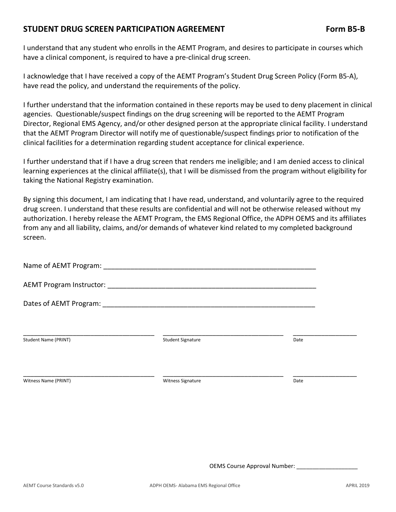#### **STUDENT DRUG SCREEN PARTICIPATION AGREEMENT Form B5-B**

I understand that any student who enrolls in the AEMT Program, and desires to participate in courses which have a clinical component, is required to have a pre-clinical drug screen.

I acknowledge that I have received a copy of the AEMT Program's Student Drug Screen Policy (Form B5-A), have read the policy, and understand the requirements of the policy.

I further understand that the information contained in these reports may be used to deny placement in clinical agencies. Questionable/suspect findings on the drug screening will be reported to the AEMT Program Director, Regional EMS Agency, and/or other designed person at the appropriate clinical facility. I understand that the AEMT Program Director will notify me of questionable/suspect findings prior to notification of the clinical facilities for a determination regarding student acceptance for clinical experience.

I further understand that if I have a drug screen that renders me ineligible; and I am denied access to clinical learning experiences at the clinical affiliate(s), that I will be dismissed from the program without eligibility for taking the National Registry examination.

By signing this document, I am indicating that I have read, understand, and voluntarily agree to the required drug screen. I understand that these results are confidential and will not be otherwise released without my authorization. I hereby release the AEMT Program, the EMS Regional Office, the ADPH OEMS and its affiliates from any and all liability, claims, and/or demands of whatever kind related to my completed background screen.

| <b>Student Name (PRINT)</b> | <b>Student Signature</b> | Date |  |
|-----------------------------|--------------------------|------|--|
|                             |                          |      |  |
| Witness Name (PRINT)        | Witness Signature        | Date |  |
|                             |                          |      |  |

OEMS Course Approval Number: \_\_\_\_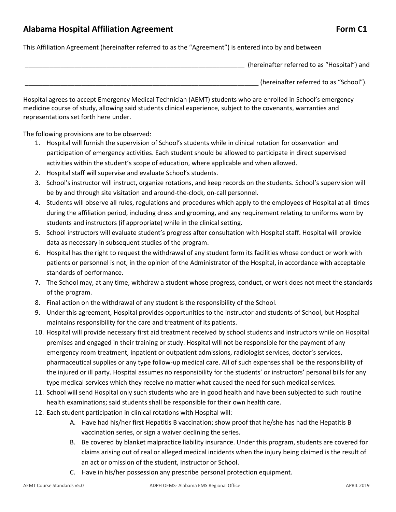#### Alabama Hospital Affiliation Agreement **Form C1 Form C1**

This Affiliation Agreement (hereinafter referred to as the "Agreement") is entered into by and between

(hereinafter referred to as "Hospital") and \_\_\_\_\_\_\_\_\_\_\_\_\_\_\_\_\_\_\_\_\_\_\_\_\_\_\_\_\_\_\_\_\_\_\_\_\_\_\_\_\_\_\_\_\_\_\_\_\_\_\_\_\_\_\_\_\_\_\_\_\_\_\_\_\_\_ (hereinafter referred to as "School").

Hospital agrees to accept Emergency Medical Technician (AEMT) students who are enrolled in School's emergency medicine course of study, allowing said students clinical experience, subject to the covenants, warranties and representations set forth here under.

The following provisions are to be observed:

- 1. Hospital will furnish the supervision of School's students while in clinical rotation for observation and participation of emergency activities. Each student should be allowed to participate in direct supervised activities within the student's scope of education, where applicable and when allowed.
- 2. Hospital staff will supervise and evaluate School's students.
- 3. School's instructor will instruct, organize rotations, and keep records on the students. School's supervision will be by and through site visitation and around-the-clock, on-call personnel.
- 4. Students will observe all rules, regulations and procedures which apply to the employees of Hospital at all times during the affiliation period, including dress and grooming, and any requirement relating to uniforms worn by students and instructors (if appropriate) while in the clinical setting.
- 5. School instructors will evaluate student's progress after consultation with Hospital staff. Hospital will provide data as necessary in subsequent studies of the program.
- 6. Hospital has the right to request the withdrawal of any student form its facilities whose conduct or work with patients or personnel is not, in the opinion of the Administrator of the Hospital, in accordance with acceptable standards of performance.
- 7. The School may, at any time, withdraw a student whose progress, conduct, or work does not meet the standards of the program.
- 8. Final action on the withdrawal of any student is the responsibility of the School.
- 9. Under this agreement, Hospital provides opportunities to the instructor and students of School, but Hospital maintains responsibility for the care and treatment of its patients.
- 10. Hospital will provide necessary first aid treatment received by school students and instructors while on Hospital premises and engaged in their training or study. Hospital will not be responsible for the payment of any emergency room treatment, inpatient or outpatient admissions, radiologist services, doctor's services, pharmaceutical supplies or any type follow-up medical care. All of such expenses shall be the responsibility of the injured or ill party. Hospital assumes no responsibility for the students' or instructors' personal bills for any type medical services which they receive no matter what caused the need for such medical services.
- 11. School will send Hospital only such students who are in good health and have been subjected to such routine health examinations; said students shall be responsible for their own health care.
- 12. Each student participation in clinical rotations with Hospital will:
	- A. Have had his/her first Hepatitis B vaccination; show proof that he/she has had the Hepatitis B vaccination series, or sign a waiver declining the series.
	- B. Be covered by blanket malpractice liability insurance. Under this program, students are covered for claims arising out of real or alleged medical incidents when the injury being claimed is the result of an act or omission of the student, instructor or School.
	- C. Have in his/her possession any prescribe personal protection equipment.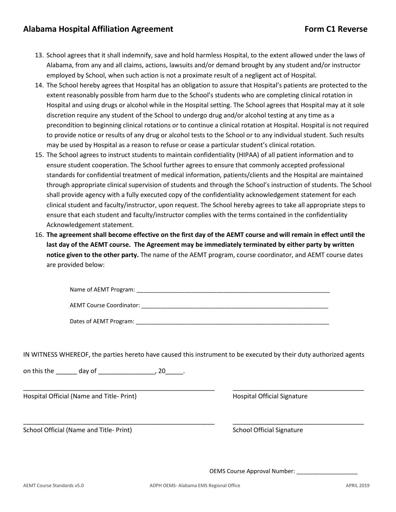- 13. School agrees that it shall indemnify, save and hold harmless Hospital, to the extent allowed under the laws of Alabama, from any and all claims, actions, lawsuits and/or demand brought by any student and/or instructor employed by School, when such action is not a proximate result of a negligent act of Hospital.
- 14. The School hereby agrees that Hospital has an obligation to assure that Hospital's patients are protected to the extent reasonably possible from harm due to the School's students who are completing clinical rotation in Hospital and using drugs or alcohol while in the Hospital setting. The School agrees that Hospital may at it sole discretion require any student of the School to undergo drug and/or alcohol testing at any time as a precondition to beginning clinical rotations or to continue a clinical rotation at Hospital. Hospital is not required to provide notice or results of any drug or alcohol tests to the School or to any individual student. Such results may be used by Hospital as a reason to refuse or cease a particular student's clinical rotation.
- 15. The School agrees to instruct students to maintain confidentiality (HIPAA) of all patient information and to ensure student cooperation. The School further agrees to ensure that commonly accepted professional standards for confidential treatment of medical information, patients/clients and the Hospital are maintained through appropriate clinical supervision of students and through the School's instruction of students. The School shall provide agency with a fully executed copy of the confidentiality acknowledgement statement for each clinical student and faculty/instructor, upon request. The School hereby agrees to take all appropriate steps to ensure that each student and faculty/instructor complies with the terms contained in the confidentiality Acknowledgement statement.
- 16. **The agreement shall become effective on the first day of the AEMT course and will remain in effect until the last day of the AEMT course. The Agreement may be immediately terminated by either party by written notice given to the other party.** The name of the AEMT program, course coordinator, and AEMT course dates are provided below:

| Name of AEMT Program:    |  |  |
|--------------------------|--|--|
|                          |  |  |
| AEMT Course Coordinator: |  |  |

Dates of AEMT Program: \_\_\_\_\_\_\_\_\_\_\_\_\_\_\_\_\_\_\_\_\_\_\_\_\_\_\_\_\_\_\_\_\_\_\_\_\_\_\_\_\_\_\_\_\_\_\_\_\_\_\_\_\_\_\_\_\_\_\_\_

IN WITNESS WHEREOF, the parties hereto have caused this instrument to be executed by their duty authorized agents

\_\_\_\_\_\_\_\_\_\_\_\_\_\_\_\_\_\_\_\_\_\_\_\_\_\_\_\_\_\_\_\_\_\_\_\_\_\_\_\_\_\_\_\_\_\_\_\_\_\_\_\_\_\_ \_\_\_\_\_\_\_\_\_\_\_\_\_\_\_\_\_\_\_\_\_\_\_\_\_\_\_\_\_\_\_\_\_\_\_\_\_

on this the day of the day of the set of  $\sim$  20 and the set of  $\sim$ 

Hospital Official (Name and Title- Print) Hospital Official Signature

School Official (Name and Title- Print) School Official Signature

\_\_\_\_\_\_\_\_\_\_\_\_\_\_\_\_\_\_\_\_\_\_\_\_\_\_\_\_\_\_\_\_\_\_\_\_\_\_\_\_\_\_\_\_\_\_\_\_\_\_\_\_\_\_ \_\_\_\_\_\_\_\_\_\_\_\_\_\_\_\_\_\_\_\_\_\_\_\_\_\_\_\_\_\_\_\_\_\_\_\_\_

OEMS Course Approval Number: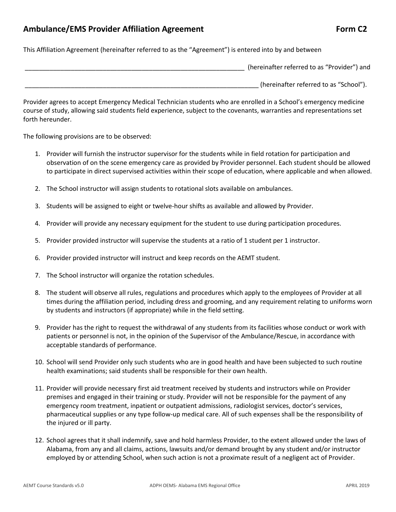#### Ambulance/EMS Provider Affiliation Agreement **Form C2** Form C2

This Affiliation Agreement (hereinafter referred to as the "Agreement") is entered into by and between

| (hereinafter referred to as "Provider") and |
|---------------------------------------------|
| (hereinafter referred to as "School").      |

Provider agrees to accept Emergency Medical Technician students who are enrolled in a School's emergency medicine course of study, allowing said students field experience, subject to the covenants, warranties and representations set forth hereunder.

The following provisions are to be observed:

- 1. Provider will furnish the instructor supervisor for the students while in field rotation for participation and observation of on the scene emergency care as provided by Provider personnel. Each student should be allowed to participate in direct supervised activities within their scope of education, where applicable and when allowed.
- 2. The School instructor will assign students to rotational slots available on ambulances.
- 3. Students will be assigned to eight or twelve-hour shifts as available and allowed by Provider.
- 4. Provider will provide any necessary equipment for the student to use during participation procedures.
- 5. Provider provided instructor will supervise the students at a ratio of 1 student per 1 instructor.
- 6. Provider provided instructor will instruct and keep records on the AEMT student.
- 7. The School instructor will organize the rotation schedules.
- 8. The student will observe all rules, regulations and procedures which apply to the employees of Provider at all times during the affiliation period, including dress and grooming, and any requirement relating to uniforms worn by students and instructors (if appropriate) while in the field setting.
- 9. Provider has the right to request the withdrawal of any students from its facilities whose conduct or work with patients or personnel is not, in the opinion of the Supervisor of the Ambulance/Rescue, in accordance with acceptable standards of performance.
- 10. School will send Provider only such students who are in good health and have been subjected to such routine health examinations; said students shall be responsible for their own health.
- 11. Provider will provide necessary first aid treatment received by students and instructors while on Provider premises and engaged in their training or study. Provider will not be responsible for the payment of any emergency room treatment, inpatient or outpatient admissions, radiologist services, doctor's services, pharmaceutical supplies or any type follow-up medical care. All of such expenses shall be the responsibility of the injured or ill party.
- 12. School agrees that it shall indemnify, save and hold harmless Provider, to the extent allowed under the laws of Alabama, from any and all claims, actions, lawsuits and/or demand brought by any student and/or instructor employed by or attending School, when such action is not a proximate result of a negligent act of Provider.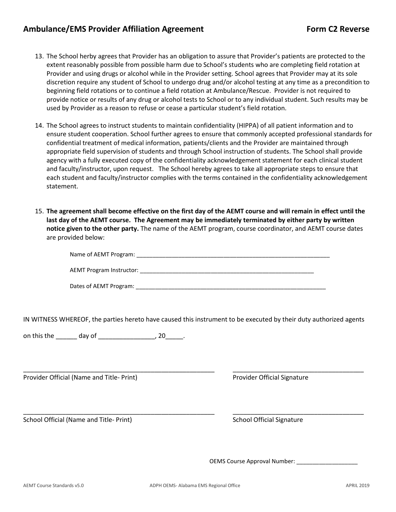#### Ambulance/EMS Provider Affiliation Agreement Form C2 Reverse

- 13. The School herby agrees that Provider has an obligation to assure that Provider's patients are protected to the extent reasonably possible from possible harm due to School's students who are completing field rotation at Provider and using drugs or alcohol while in the Provider setting. School agrees that Provider may at its sole discretion require any student of School to undergo drug and/or alcohol testing at any time as a precondition to beginning field rotations or to continue a field rotation at Ambulance/Rescue. Provider is not required to provide notice or results of any drug or alcohol tests to School or to any individual student. Such results may be used by Provider as a reason to refuse or cease a particular student's field rotation.
- 14. The School agrees to instruct students to maintain confidentiality (HIPPA) of all patient information and to ensure student cooperation. School further agrees to ensure that commonly accepted professional standards for confidential treatment of medical information, patients/clients and the Provider are maintained through appropriate field supervision of students and through School instruction of students. The School shall provide agency with a fully executed copy of the confidentiality acknowledgement statement for each clinical student and faculty/instructor, upon request. The School hereby agrees to take all appropriate steps to ensure that each student and faculty/instructor complies with the terms contained in the confidentiality acknowledgement statement.
- 15. **The agreement shall become effective on the first day of the AEMT course and will remain in effect until the last day of the AEMT course. The Agreement may be immediately terminated by either party by written notice given to the other party.** The name of the AEMT program, course coordinator, and AEMT course dates are provided below:

| Name of AEMT Program:    |  |  |
|--------------------------|--|--|
|                          |  |  |
| AEMT Program Instructor: |  |  |

Dates of AEMT Program:  $\Box$ 

IN WITNESS WHEREOF, the parties hereto have caused this instrument to be executed by their duty authorized agents

\_\_\_\_\_\_\_\_\_\_\_\_\_\_\_\_\_\_\_\_\_\_\_\_\_\_\_\_\_\_\_\_\_\_\_\_\_\_\_\_\_\_\_\_\_\_\_\_\_\_\_\_\_\_ \_\_\_\_\_\_\_\_\_\_\_\_\_\_\_\_\_\_\_\_\_\_\_\_\_\_\_\_\_\_\_\_\_\_\_\_\_

\_\_\_\_\_\_\_\_\_\_\_\_\_\_\_\_\_\_\_\_\_\_\_\_\_\_\_\_\_\_\_\_\_\_\_\_\_\_\_\_\_\_\_\_\_\_\_\_\_\_\_\_\_\_ \_\_\_\_\_\_\_\_\_\_\_\_\_\_\_\_\_\_\_\_\_\_\_\_\_\_\_\_\_\_\_\_\_\_\_\_\_

on this the \_\_\_\_\_\_\_ day of \_\_\_\_\_\_\_\_\_\_\_\_\_\_\_\_\_\_\_, 20\_\_\_\_\_\_.

Provider Official (Name and Title- Print) Provider Official Signature

School Official (Name and Title- Print) School Official Signature

OEMS Course Approval Number: \_\_\_\_\_\_\_\_\_\_\_\_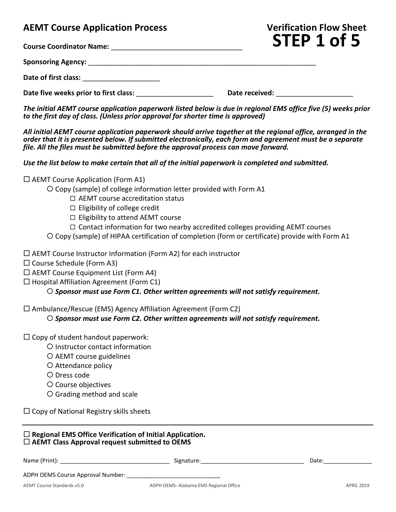## **AEMT Course Application Process Verification Flow Sheet**

**Course Coordinator Name:** \_\_\_\_\_\_\_\_\_\_\_\_\_\_\_\_\_\_\_\_\_\_\_\_\_\_\_\_\_\_\_\_\_\_

**Sponsoring Agency:** \_\_\_\_\_\_\_\_\_\_\_\_\_\_\_\_\_\_\_\_\_\_\_\_\_\_\_\_\_\_\_\_\_\_\_\_\_\_\_\_\_\_\_\_\_\_\_\_\_\_\_\_\_\_\_\_\_\_\_

Date of first class:

Date five weeks prior to first class: **we consider the constant of the Date received:**  $\blacksquare$ 

*The initial AEMT course application paperwork listed below is due in regional EMS office five (5) weeks prior to the first day of class. (Unless prior approval for shorter time is approved)*

*All initial AEMT course application paperwork should arrive together at the regional office, arranged in the order that it is presented below. If submitted electronically, each form and agreement must be a separate file. All the files must be submitted before the approval process can move forward.*

*Use the list below to make certain that all of the initial paperwork is completed and submitted.*

 $\square$  AEMT Course Application (Form A1)

Copy (sample) of college information letter provided with Form A1

- □ AEMT course accreditation status
- $\Box$  Eligibility of college credit
- $\Box$  Eligibility to attend AEMT course
- $\Box$  Contact information for two nearby accredited colleges providing AEMT courses
- Copy (sample) of HIPAA certification of completion (form or certificate) provide with Form A1
- □ AEMT Course Instructor Information (Form A2) for each instructor
- $\square$  Course Schedule (Form A3)
- $\Box$  AEMT Course Equipment List (Form A4)
- $\Box$  Hospital Affiliation Agreement (Form C1)

#### *Sponsor must use Form C1. Other written agreements will not satisfy requirement.*

 $\Box$  Ambulance/Rescue (EMS) Agency Affiliation Agreement (Form C2)

*Sponsor must use Form C2. Other written agreements will not satisfy requirement.*

- $\square$  Copy of student handout paperwork:
	- O Instructor contact information
	- AEMT course guidelines
	- O Attendance policy
	- Dress code
	- O Course objectives
	- Grading method and scale
- $\Box$  Copy of National Registry skills sheets

#### **Regional EMS Office Verification of Initial Application. AEMT Class Approval request submitted to OEMS**

| Name (Print):                     | Signature:                            | Date:             |
|-----------------------------------|---------------------------------------|-------------------|
| ADPH OEMS Course Approval Number: |                                       |                   |
| AEMT Course Standards v5.0        | ADPH OEMS-Alabama EMS Regional Office | <b>APRIL 2019</b> |

**STEP 1 of 5**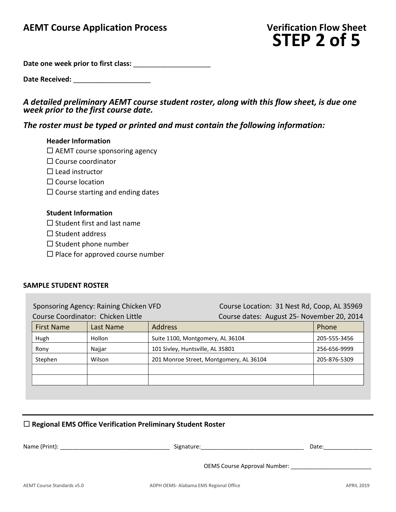# **STEP 2 of 5**

**Date one week prior to first class:** \_\_\_\_\_\_\_\_\_\_\_\_\_\_\_\_\_\_\_\_

Date Received:

#### *A detailed preliminary AEMT course student roster, along with this flow sheet, is due one week prior to the first course date.*

#### *The roster must be typed or printed and must contain the following information:*

#### **Header Information**

- $\square$  AEMT course sponsoring agency
- $\square$  Course coordinator
- $\square$  Lead instructor
- $\square$  Course location
- $\square$  Course starting and ending dates

#### **Student Information**

- $\square$  Student first and last name
- $\square$  Student address
- $\square$  Student phone number
- $\square$  Place for approved course number

#### **SAMPLE STUDENT ROSTER**

Sponsoring Agency: Raining Chicken VFD Course Location: 31 Nest Rd, Coop, AL 35969 Course Coordinator: Chicken Little Course dates: August 25- November 20, 2014

| <b>First Name</b> | Last Name | <b>Address</b>                          | Phone        |
|-------------------|-----------|-----------------------------------------|--------------|
| Hugh              | Hollon    | Suite 1100, Montgomery, AL 36104        | 205-555-3456 |
| Rony              | Najjar    | 101 Sivley, Huntsville, AL 35801        | 256-656-9999 |
| Stephen           | Wilson    | 201 Monroe Street, Montgomery, AL 36104 | 205-876-5309 |
|                   |           |                                         |              |
|                   |           |                                         |              |

#### **Regional EMS Office Verification Preliminary Student Roster**

| Name (Print): | Signature:                          | Date: |
|---------------|-------------------------------------|-------|
|               | <b>OEMS Course Approval Number:</b> |       |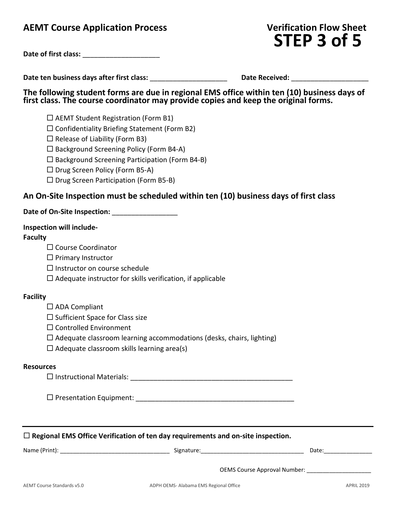## **AEMT** Course Application Process

| <b>Verification Flow Sheet</b> |  |  |
|--------------------------------|--|--|
| STEP 3 of 5                    |  |  |

| Date of first class: |
|----------------------|
|                      |

**Date ten business days after first class:** \_\_\_\_\_\_\_\_\_\_\_\_\_\_\_\_\_\_\_\_ **Date Received:** \_\_\_\_\_\_\_\_\_\_\_\_\_\_\_\_\_\_\_\_

**The following student forms are due in regional EMS office within ten (10) business days of first class. The course coordinator may provide copies and keep the original forms.**

 $\Box$  AEMT Student Registration (Form B1)

 $\square$  Confidentiality Briefing Statement (Form B2)

 $\Box$  Release of Liability (Form B3)

 $\square$  Background Screening Policy (Form B4-A)

 $\square$  Background Screening Participation (Form B4-B)

 $\square$  Drug Screen Policy (Form B5-A)

 $\square$  Drug Screen Participation (Form B5-B)

#### **An On-Site Inspection must be scheduled within ten (10) business days of first class**

#### Date of On-Site Inspection:

#### **Inspection will include-**

#### **Faculty**

□ Course Coordinator

 $\Box$  Primary Instructor

- $\Box$  Instructor on course schedule
- $\square$  Adequate instructor for skills verification, if applicable

#### **Facility**

 $\square$  ADA Compliant

 $\square$  Sufficient Space for Class size

- □ Controlled Environment
- $\Box$  Adequate classroom learning accommodations (desks, chairs, lighting)
- $\square$  Adequate classroom skills learning area(s)

#### **Resources**

Instructional Materials: \_\_\_\_\_\_\_\_\_\_\_\_\_\_\_\_\_\_\_\_\_\_\_\_\_\_\_\_\_\_\_\_\_\_\_\_\_\_\_\_\_\_

Presentation Equipment: \_\_\_\_\_\_\_\_\_\_\_\_\_\_\_\_\_\_\_\_\_\_\_\_\_\_\_\_\_\_\_\_\_\_\_\_\_\_\_\_\_

**Regional EMS Office Verification of ten day requirements and on-site inspection.**

Name (Print): \_\_\_\_\_\_\_\_\_\_\_\_\_\_\_\_\_\_\_\_\_\_\_\_\_\_\_\_\_\_\_\_\_\_ Signature:\_\_\_\_\_\_\_\_\_\_\_\_\_\_\_\_\_\_\_\_\_\_\_\_\_\_\_\_\_\_\_\_ Date:\_\_\_\_\_\_\_\_\_\_\_\_\_\_\_

OEMS Course Approval Number: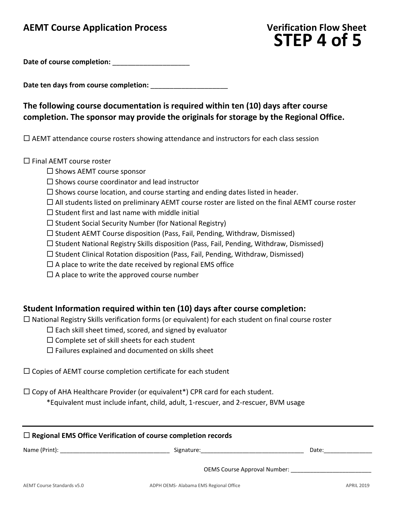## **AEMT Course Application Process Verification Flow Sheet**

# **STEP 4 of 5**

Date of course completion:

Date ten days from course completion:

## **The following course documentation is required within ten (10) days after course completion. The sponsor may provide the originals for storage by the Regional Office.**

 $\Box$  AEMT attendance course rosters showing attendance and instructors for each class session

 $\square$  Final AEMT course roster

- $\square$  Shows AEMT course sponsor
- $\square$  Shows course coordinator and lead instructor
- $\square$  Shows course location, and course starting and ending dates listed in header.
- $\Box$  All students listed on preliminary AEMT course roster are listed on the final AEMT course roster
- $\square$  Student first and last name with middle initial
- $\square$  Student Social Security Number (for National Registry)
- $\square$  Student AEMT Course disposition (Pass, Fail, Pending, Withdraw, Dismissed)
- $\Box$  Student National Registry Skills disposition (Pass, Fail, Pending, Withdraw, Dismissed)
- $\square$  Student Clinical Rotation disposition (Pass, Fail, Pending, Withdraw, Dismissed)
- $\Box$  A place to write the date received by regional EMS office
- $\square$  A place to write the approved course number

#### **Student Information required within ten (10) days after course completion:**

 $\Box$  National Registry Skills verification forms (or equivalent) for each student on final course roster

- $\square$  Each skill sheet timed, scored, and signed by evaluator
- $\square$  Complete set of skill sheets for each student
- $\square$  Failures explained and documented on skills sheet

 $\Box$  Copies of AEMT course completion certificate for each student

 $\Box$  Copy of AHA Healthcare Provider (or equivalent\*) CPR card for each student.

\*Equivalent must include infant, child, adult, 1-rescuer, and 2-rescuer, BVM usage

| $\Box$ Regional EMS Office Verification of course completion records |                                                                                                                |       |  |
|----------------------------------------------------------------------|----------------------------------------------------------------------------------------------------------------|-------|--|
|                                                                      | Signature: the contract of the contract of the contract of the contract of the contract of the contract of the | Date: |  |
|                                                                      | <b>OEMS Course Approval Number:</b>                                                                            |       |  |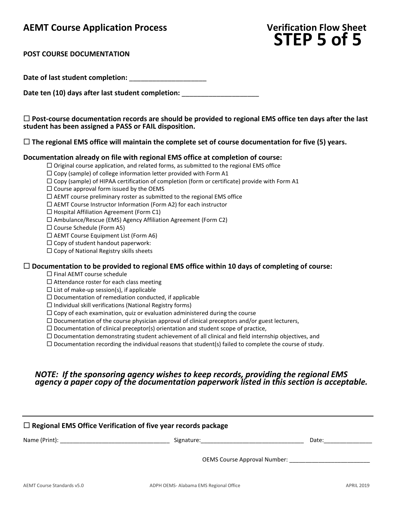### **AEMT Course Application Process Verification Flow Sheet**

# **STEP 5 of 5**

#### **POST COURSE DOCUMENTATION**

Date of last student completion:

Date ten (10) days after last student completion:

 **Post-course documentation records are should be provided to regional EMS office ten days after the last student has been assigned a PASS or FAIL disposition.**

**The regional EMS office will maintain the complete set of course documentation for five (5) years.**

#### **Documentation already on file with regional EMS office at completion of course:**

 $\Box$  Original course application, and related forms, as submitted to the regional EMS office

 $\Box$  Copy (sample) of college information letter provided with Form A1

- $\square$  Copy (sample) of HIPAA certification of completion (form or certificate) provide with Form A1
- $\square$  Course approval form issued by the OEMS

 $\Box$  AEMT course preliminary roster as submitted to the regional EMS office

 $\Box$  AEMT Course Instructor Information (Form A2) for each instructor

 $\Box$  Hospital Affiliation Agreement (Form C1)

 $\square$  Ambulance/Rescue (EMS) Agency Affiliation Agreement (Form C2)

□ Course Schedule (Form A5)

 $\Box$  AEMT Course Equipment List (Form A6)

 $\square$  Copy of student handout paperwork:

 $\Box$  Copy of National Registry skills sheets

#### **Documentation to be provided to regional EMS office within 10 days of completing of course:**

□ Final AEMT course schedule

 $\Box$  Attendance roster for each class meeting

 $\square$  List of make-up session(s), if applicable

 $\square$  Documentation of remediation conducted, if applicable

 $\Box$  Individual skill verifications (National Registry forms)

 $\Box$  Copy of each examination, quiz or evaluation administered during the course

 $\square$  Documentation of the course physician approval of clinical preceptors and/or guest lecturers,

 $\square$  Documentation of clinical preceptor(s) orientation and student scope of practice,

 $\Box$  Documentation demonstrating student achievement of all clinical and field internship objectives, and

 $\Box$  Documentation recording the individual reasons that student(s) failed to complete the course of study.

#### *NOTE: If the sponsoring agency wishes to keep records, providing the regional EMS agency a paper copy of the documentation paperwork listed in this section is acceptable.*

| $\Box$ Regional EMS Office Verification of five year records package |  |                                                                                                                                                                                                                                |  |
|----------------------------------------------------------------------|--|--------------------------------------------------------------------------------------------------------------------------------------------------------------------------------------------------------------------------------|--|
|                                                                      |  | Date: the contract of the contract of the contract of the contract of the contract of the contract of the contract of the contract of the contract of the contract of the contract of the contract of the contract of the cont |  |
|                                                                      |  |                                                                                                                                                                                                                                |  |
|                                                                      |  |                                                                                                                                                                                                                                |  |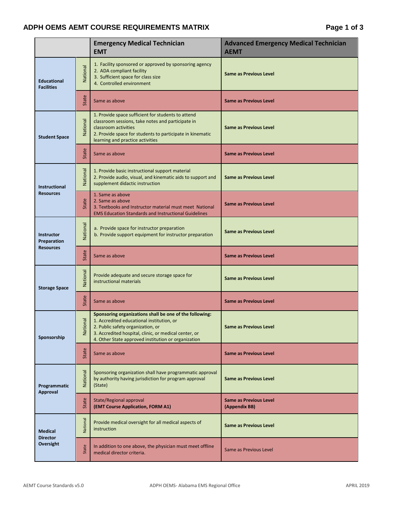#### **ADPH OEMS AEMT COURSE REQUIREMENTS MATRIX Page 1 of 3**

|                                                |                     | <b>Emergency Medical Technician</b><br><b>EMT</b>                                                                                                                                                                                                         | <b>Advanced Emergency Medical Technician</b><br><b>AEMT</b> |
|------------------------------------------------|---------------------|-----------------------------------------------------------------------------------------------------------------------------------------------------------------------------------------------------------------------------------------------------------|-------------------------------------------------------------|
| <b>Educational</b><br><b>Facilities</b>        | National            | 1. Facility sponsored or approved by sponsoring agency<br>2. ADA compliant facility<br>3. Sufficient space for class size<br>4. Controlled environment                                                                                                    | <b>Same as Previous Level</b>                               |
|                                                | State               | Same as above                                                                                                                                                                                                                                             | <b>Same as Previous Level</b>                               |
| <b>Student Space</b>                           | National            | 1. Provide space sufficient for students to attend<br>classroom sessions, take notes and participate in<br>classroom activities<br>2. Provide space for students to participate in kinematic<br>learning and practice activities                          | <b>Same as Previous Level</b>                               |
|                                                | State               | Same as above                                                                                                                                                                                                                                             | <b>Same as Previous Level</b>                               |
| Instructional<br><b>Resources</b>              | National            | 1. Provide basic instructional support material<br>2. Provide audio, visual, and kinematic aids to support and<br>supplement didactic instruction                                                                                                         | <b>Same as Previous Level</b>                               |
|                                                | State               | 1. Same as above<br>2. Same as above<br>3. Textbooks and Instructor material must meet National<br><b>EMS Education Standards and Instructional Guidelines</b>                                                                                            | <b>Same as Previous Level</b>                               |
| Instructor<br>Preparation<br><b>Resources</b>  | National            | a. Provide space for instructor preparation<br>b. Provide support equipment for instructor preparation                                                                                                                                                    | <b>Same as Previous Level</b>                               |
|                                                | State               | Same as above                                                                                                                                                                                                                                             | <b>Same as Previous Level</b>                               |
| <b>Storage Space</b>                           | National            | Provide adequate and secure storage space for<br>instructional materials                                                                                                                                                                                  | <b>Same as Previous Level</b>                               |
|                                                | State               | Same as above                                                                                                                                                                                                                                             | <b>Same as Previous Level</b>                               |
| Sponsorship                                    | <b>onal</b><br>Nati | Sponsoring organizations shall be one of the following:<br>1. Accredited educational institution, or<br>2. Public safety organization, or<br>3. Accredited hospital, clinic, or medical center, or<br>4. Other State approved institution or organization | Same as Previous Level                                      |
|                                                | State               | Same as above                                                                                                                                                                                                                                             | <b>Same as Previous Level</b>                               |
| Programmatic<br>Approval                       | National            | Sponsoring organization shall have programmatic approval<br>by authority having jurisdiction for program approval<br>(State)                                                                                                                              | <b>Same as Previous Level</b>                               |
|                                                | State               | <b>State/Regional approval</b><br>(EMT Course Application, FORM A1)                                                                                                                                                                                       | <b>Same as Previous Level</b><br>(Appendix BB)              |
| <b>Medical</b><br><b>Director</b><br>Oversight | National            | Provide medical oversight for all medical aspects of<br>instruction                                                                                                                                                                                       | <b>Same as Previous Level</b>                               |
|                                                | State               | In addition to one above, the physician must meet offline<br>medical director criteria.                                                                                                                                                                   | Same as Previous Level                                      |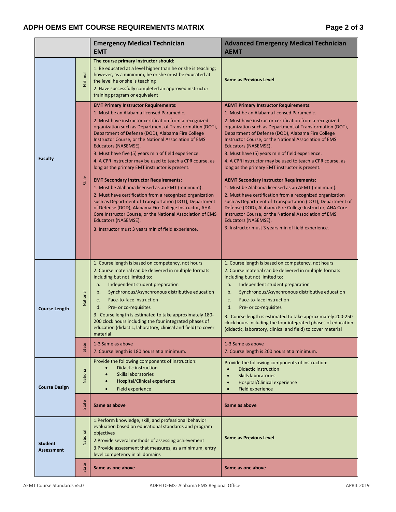#### ADPH OEMS EMT COURSE REQUIREMENTS MATRIX **Fig. 2** and  $P$  and  $P$  and  $P$  and  $P$  and  $P$  and  $P$  and  $P$  and  $P$  and  $P$  and  $P$  and  $P$  and  $P$  and  $P$  and  $P$  and  $P$  and  $P$  and  $P$  and  $P$  and  $P$  and  $P$  and  $P$  and

|                                     |          | <b>Emergency Medical Technician</b><br><b>EMT</b>                                                                                                                                                                                                                                                                                                                                                                                                                                                                                                                                                                                                                                                                                                                                                                                                                                                                                                               | <b>Advanced Emergency Medical Technician</b><br><b>AEMT</b>                                                                                                                                                                                                                                                                                                                                                                                                                                                                                                                                                                                                                                                                                                                                                                                                                                                                                                   |
|-------------------------------------|----------|-----------------------------------------------------------------------------------------------------------------------------------------------------------------------------------------------------------------------------------------------------------------------------------------------------------------------------------------------------------------------------------------------------------------------------------------------------------------------------------------------------------------------------------------------------------------------------------------------------------------------------------------------------------------------------------------------------------------------------------------------------------------------------------------------------------------------------------------------------------------------------------------------------------------------------------------------------------------|---------------------------------------------------------------------------------------------------------------------------------------------------------------------------------------------------------------------------------------------------------------------------------------------------------------------------------------------------------------------------------------------------------------------------------------------------------------------------------------------------------------------------------------------------------------------------------------------------------------------------------------------------------------------------------------------------------------------------------------------------------------------------------------------------------------------------------------------------------------------------------------------------------------------------------------------------------------|
|                                     | National | The course primary instructor should:<br>1. Be educated at a level higher than he or she is teaching;<br>however, as a minimum, he or she must be educated at<br>the level he or she is teaching<br>2. Have successfully completed an approved instructor<br>training program or equivalent                                                                                                                                                                                                                                                                                                                                                                                                                                                                                                                                                                                                                                                                     | <b>Same as Previous Level</b>                                                                                                                                                                                                                                                                                                                                                                                                                                                                                                                                                                                                                                                                                                                                                                                                                                                                                                                                 |
| <b>Faculty</b>                      | State    | <b>EMT Primary Instructor Requirements:</b><br>1. Must be an Alabama licensed Paramedic.<br>2. Must have instructor certification from a recognized<br>organization such as Department of Transformation (DOT),<br>Department of Defense (DOD), Alabama Fire College<br>Instructor Course, or the National Association of EMS<br>Educators (NASEMSE).<br>3. Must have five (5) years min of field experience.<br>4. A CPR Instructor may be used to teach a CPR course, as<br>long as the primary EMT instructor is present.<br><b>EMT Secondary Instructor Requirements:</b><br>1. Must be Alabama licensed as an EMT (minimum).<br>2. Must have certification from a recognized organization<br>such as Department of Transportation (DOT), Department<br>of Defense (DOD), Alabama Fire College Instructor, AHA<br>Core Instructor Course, or the National Association of EMS<br>Educators (NASEMSE).<br>3. Instructor must 3 years min of field experience. | <b>AEMT Primary Instructor Requirements:</b><br>1. Must be an Alabama licensed Paramedic.<br>2. Must have instructor certification from a recognized<br>organization such as Department of Transformation (DOT),<br>Department of Defense (DOD), Alabama Fire College<br>Instructor Course, or the National Association of EMS<br>Educators (NASEMSE).<br>3. Must have (5) years min of field experience.<br>4. A CPR Instructor may be used to teach a CPR course, as<br>long as the primary EMT instructor is present.<br><b>AEMT Secondary Instructor Requirements:</b><br>1. Must be Alabama licensed as an AEMT (minimum).<br>2. Must have certification from a recognized organization<br>such as Department of Transportation (DOT), Department of<br>Defense (DOD), Alabama Fire College Instructor, AHA Core<br>Instructor Course, or the National Association of EMS<br>Educators (NASEMSE).<br>3. Instructor must 3 years min of field experience. |
| <b>Course Length</b>                | National | 1. Course length is based on competency, not hours<br>2. Course material can be delivered in multiple formats<br>including but not limited to:<br>Independent student preparation<br>a.<br>Synchronous/Asynchronous distributive education<br>b.<br>Face-to-face instruction<br>c.<br>Pre- or co-requisites<br>d.<br>3. Course length is estimated to take approximately 180-<br>200 clock hours including the four integrated phases of<br>education (didactic, laboratory, clinical and field) to cover<br>material                                                                                                                                                                                                                                                                                                                                                                                                                                           | 1. Course length is based on competency, not hours<br>2. Course material can be delivered in multiple formats<br>including but not limited to:<br>Independent student preparation<br>a.<br>Synchronous/Asynchronous distributive education<br>b.<br>Face-to-face instruction<br>c.<br>d.<br>Pre- or co-requisites<br>3. Course length is estimated to take approximately 200-250<br>clock hours including the four integrated phases of education<br>(didactic, laboratory, clinical and field) to cover material                                                                                                                                                                                                                                                                                                                                                                                                                                             |
|                                     | State    | 1-3 Same as above<br>7. Course length is 180 hours at a minimum.                                                                                                                                                                                                                                                                                                                                                                                                                                                                                                                                                                                                                                                                                                                                                                                                                                                                                                | 1-3 Same as above<br>7. Course length is 200 hours at a minimum.                                                                                                                                                                                                                                                                                                                                                                                                                                                                                                                                                                                                                                                                                                                                                                                                                                                                                              |
| <b>Course Design</b>                | Vational | Provide the following components of instruction:<br><b>Didactic instruction</b><br><b>Skills laboratories</b><br>Hospital/Clinical experience<br>Field experience                                                                                                                                                                                                                                                                                                                                                                                                                                                                                                                                                                                                                                                                                                                                                                                               | Provide the following components of instruction:<br><b>Didactic instruction</b><br>$\bullet$<br>Skills laboratories<br>Hospital/Clinical experience<br>$\bullet$<br>Field experience<br>$\bullet$                                                                                                                                                                                                                                                                                                                                                                                                                                                                                                                                                                                                                                                                                                                                                             |
|                                     | State    | Same as above                                                                                                                                                                                                                                                                                                                                                                                                                                                                                                                                                                                                                                                                                                                                                                                                                                                                                                                                                   | Same as above                                                                                                                                                                                                                                                                                                                                                                                                                                                                                                                                                                                                                                                                                                                                                                                                                                                                                                                                                 |
| <b>Student</b><br><b>Assessment</b> | National | 1.Perform knowledge, skill, and professional behavior<br>evaluation based on educational standards and program<br>objectives<br>2. Provide several methods of assessing achievement<br>3. Provide assessment that measures, as a minimum, entry<br>level competency in all domains                                                                                                                                                                                                                                                                                                                                                                                                                                                                                                                                                                                                                                                                              | Same as Previous Level                                                                                                                                                                                                                                                                                                                                                                                                                                                                                                                                                                                                                                                                                                                                                                                                                                                                                                                                        |
|                                     | State    | Same as one above                                                                                                                                                                                                                                                                                                                                                                                                                                                                                                                                                                                                                                                                                                                                                                                                                                                                                                                                               | Same as one above                                                                                                                                                                                                                                                                                                                                                                                                                                                                                                                                                                                                                                                                                                                                                                                                                                                                                                                                             |